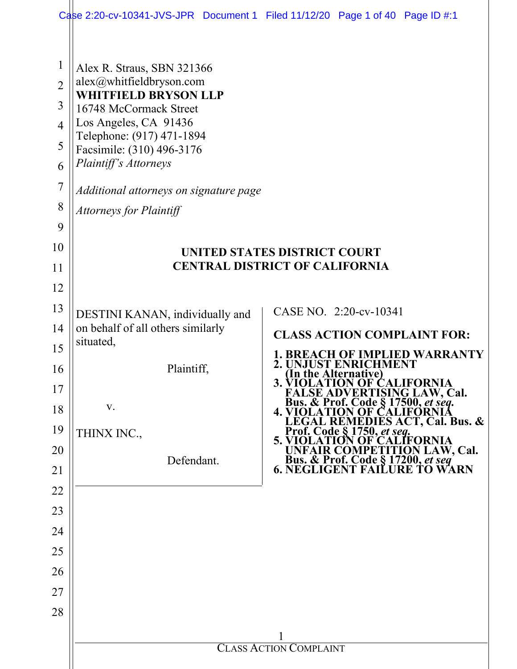|                                                                                             |                                                                                                                                                                                                                                                                                                         | Case 2:20-cv-10341-JVS-JPR Document 1 Filed 11/12/20 Page 1 of 40 Page ID #:1                                                                                                                                                                                           |  |  |
|---------------------------------------------------------------------------------------------|---------------------------------------------------------------------------------------------------------------------------------------------------------------------------------------------------------------------------------------------------------------------------------------------------------|-------------------------------------------------------------------------------------------------------------------------------------------------------------------------------------------------------------------------------------------------------------------------|--|--|
| $\mathbf{1}$<br>$\overline{2}$<br>3<br>$\overline{4}$<br>5<br>6<br>$\overline{7}$<br>8<br>9 | Alex R. Straus, SBN 321366<br>alex@whitfieldbryson.com<br><b>WHITFIELD BRYSON LLP</b><br>16748 McCormack Street<br>Los Angeles, CA 91436<br>Telephone: (917) 471-1894<br>Facsimile: (310) 496-3176<br>Plaintiff's Attorneys<br>Additional attorneys on signature page<br><b>Attorneys for Plaintiff</b> |                                                                                                                                                                                                                                                                         |  |  |
| 10                                                                                          | UNITED STATES DISTRICT COURT                                                                                                                                                                                                                                                                            |                                                                                                                                                                                                                                                                         |  |  |
| 11                                                                                          | <b>CENTRAL DISTRICT OF CALIFORNIA</b>                                                                                                                                                                                                                                                                   |                                                                                                                                                                                                                                                                         |  |  |
| 12                                                                                          |                                                                                                                                                                                                                                                                                                         |                                                                                                                                                                                                                                                                         |  |  |
| 13                                                                                          | DESTINI KANAN, individually and                                                                                                                                                                                                                                                                         | CASE NO. 2:20-cv-10341                                                                                                                                                                                                                                                  |  |  |
| 14                                                                                          | on behalf of all others similarly<br>situated,                                                                                                                                                                                                                                                          | <b>CLASS ACTION COMPLAINT FOR:</b>                                                                                                                                                                                                                                      |  |  |
| 15                                                                                          |                                                                                                                                                                                                                                                                                                         | CH OF IMPLIED WARRANTY                                                                                                                                                                                                                                                  |  |  |
| 16                                                                                          | Plaintiff,                                                                                                                                                                                                                                                                                              | UST ENRICHMENT<br>(In the Alternative)                                                                                                                                                                                                                                  |  |  |
| 17                                                                                          | V.                                                                                                                                                                                                                                                                                                      | 3. VIOLATION OF CALIFORNIA<br>FALSE ADVERTISING LAW, Cal.<br>Bus. & Prof. Code § 17500, et seq.<br>4. VIOLATION OF CALIFORNIA                                                                                                                                           |  |  |
| 18                                                                                          |                                                                                                                                                                                                                                                                                                         |                                                                                                                                                                                                                                                                         |  |  |
| 19<br>20                                                                                    | THINX INC.,                                                                                                                                                                                                                                                                                             |                                                                                                                                                                                                                                                                         |  |  |
| 21                                                                                          | Defendant.                                                                                                                                                                                                                                                                                              | <b>4. VIOLATION OF CALIFORNIA<br/> LEGAL REMEDIES ACT, Cal. Bus. &amp;<br/> Prof. Code § 1750, <i>et seq.</i><br/> 5. VIOLATION OF CALIFORNIA<br/> UNFAIR COMPETITION LAW, Cal.<br/> Bus. &amp; Prof. Code § 17200, <i>et seq</i><br/> 6. NEGLIGENT FAILURE TO WARN</b> |  |  |
| 22                                                                                          |                                                                                                                                                                                                                                                                                                         |                                                                                                                                                                                                                                                                         |  |  |
| 23                                                                                          |                                                                                                                                                                                                                                                                                                         |                                                                                                                                                                                                                                                                         |  |  |
| 24                                                                                          |                                                                                                                                                                                                                                                                                                         |                                                                                                                                                                                                                                                                         |  |  |
| 25                                                                                          |                                                                                                                                                                                                                                                                                                         |                                                                                                                                                                                                                                                                         |  |  |
| 26                                                                                          |                                                                                                                                                                                                                                                                                                         |                                                                                                                                                                                                                                                                         |  |  |
| 27                                                                                          |                                                                                                                                                                                                                                                                                                         |                                                                                                                                                                                                                                                                         |  |  |
| 28                                                                                          |                                                                                                                                                                                                                                                                                                         |                                                                                                                                                                                                                                                                         |  |  |
|                                                                                             |                                                                                                                                                                                                                                                                                                         |                                                                                                                                                                                                                                                                         |  |  |
|                                                                                             | <b>CLASS ACTION COMPLAINT</b>                                                                                                                                                                                                                                                                           |                                                                                                                                                                                                                                                                         |  |  |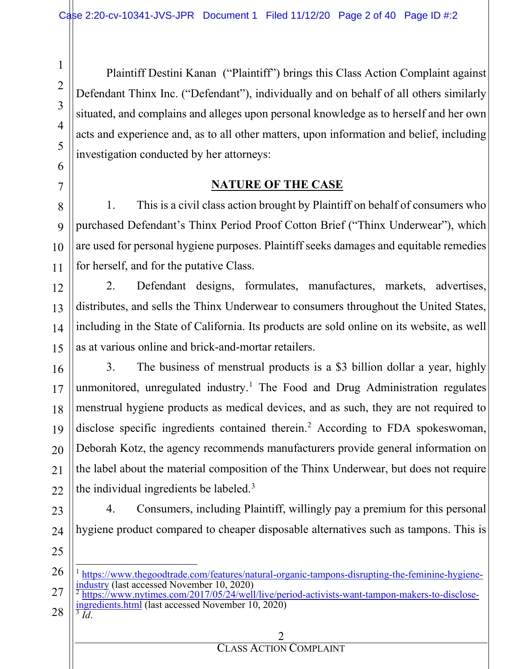Plaintiff Destini Kanan ("Plaintiff") brings this Class Action Complaint against Defendant Thinx Inc. ("Defendant"), individually and on behalf of all others similarly situated, and complains and alleges upon personal knowledge as to herself and her own acts and experience and, as to all other matters, upon information and belief, including investigation conducted by her attorneys:

### **NATURE OF THE CASE**

1. This is a civil class action brought by Plaintiff on behalf of consumers who purchased Defendant's Thinx Period Proof Cotton Brief ("Thinx Underwear"), which are used for personal hygiene purposes. Plaintiff seeks damages and equitable remedies for herself, and for the putative Class.

2. Defendant designs, formulates, manufactures, markets, advertises, distributes, and sells the Thinx Underwear to consumers throughout the United States, including in the State of California. Its products are sold online on its website, as well as at various online and brick-and-mortar retailers.

3. The business of menstrual products is a \$3 billion dollar a year, highly unmonitored, unregulated industry.<sup>[1](#page-1-0)</sup> The Food and Drug Administration regulates menstrual hygiene products as medical devices, and as such, they are not required to disclose specific ingredients contained therein.<sup>2</sup> According to FDA spokeswoman, Deborah Kotz, the agency recommends manufacturers provide general information on the label about the material composition of the Thinx Underwear, but does not require the individual ingredients be labeled.[3](#page-1-2)

4. Consumers, including Plaintiff, willingly pay a premium for this personal hygiene product compared to cheaper disposable alternatives such as tampons. This is

- <span id="page-1-2"></span><span id="page-1-1"></span> $\frac{1}{2}$  $\frac{1}{2}$  $\frac{1}{2}$ [https://www.nytimes.com/2017/05/24/well/live/period-activists-want-tampon-makers-to-disclose](https://www.nytimes.com/2017/05/24/well/live/period-activists-want-tampon-makers-to-disclose-ingredients.html)[ingredients.html](https://www.nytimes.com/2017/05/24/well/live/period-activists-want-tampon-makers-to-disclose-ingredients.html) (last accessed November 10, 2020) <sup>3</sup> *Id*.
	- 2

<span id="page-1-0"></span> $\frac{1 \text{ https://www.thegoodtrade.com/features/natural-organic-tampons-disrupting-the-feminine-hygiene-industry (last accessed November 10, 2020)}$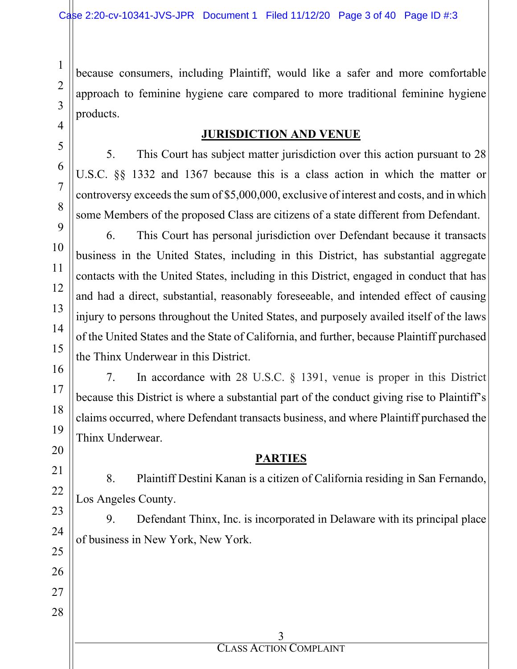because consumers, including Plaintiff, would like a safer and more comfortable approach to feminine hygiene care compared to more traditional feminine hygiene products.

#### **JURISDICTION AND VENUE**

5. This Court has subject matter jurisdiction over this action pursuant to 28 U.S.C. §§ 1332 and 1367 because this is a class action in which the matter or controversy exceeds the sum of \$5,000,000, exclusive of interest and costs, and in which some Members of the proposed Class are citizens of a state different from Defendant.

6. This Court has personal jurisdiction over Defendant because it transacts business in the United States, including in this District, has substantial aggregate contacts with the United States, including in this District, engaged in conduct that has and had a direct, substantial, reasonably foreseeable, and intended effect of causing injury to persons throughout the United States, and purposely availed itself of the laws of the United States and the State of California, and further, because Plaintiff purchased the Thinx Underwear in this District.

7. In accordance with 28 U.S.C. § 1391, venue is proper in this District because this District is where a substantial part of the conduct giving rise to Plaintiff's claims occurred, where Defendant transacts business, and where Plaintiff purchased the Thinx Underwear.

#### **PARTIES**

8. Plaintiff Destini Kanan is a citizen of California residing in San Fernando, Los Angeles County.

9. Defendant Thinx, Inc. is incorporated in Delaware with its principal place of business in New York, New York.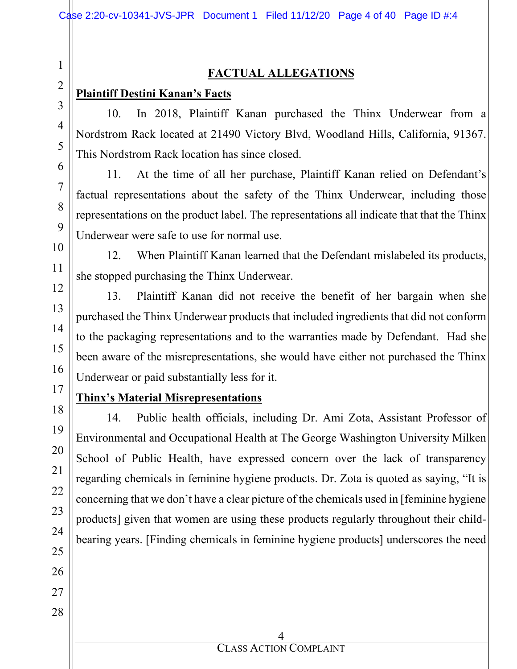### **FACTUAL ALLEGATIONS**

#### **Plaintiff Destini Kanan's Facts**

10. In 2018, Plaintiff Kanan purchased the Thinx Underwear from a Nordstrom Rack located at 21490 Victory Blvd, Woodland Hills, California, 91367. This Nordstrom Rack location has since closed.

11. At the time of all her purchase, Plaintiff Kanan relied on Defendant's factual representations about the safety of the Thinx Underwear, including those representations on the product label. The representations all indicate that that the Thinx Underwear were safe to use for normal use.

12. When Plaintiff Kanan learned that the Defendant mislabeled its products, she stopped purchasing the Thinx Underwear.

13. Plaintiff Kanan did not receive the benefit of her bargain when she purchased the Thinx Underwear products that included ingredients that did not conform to the packaging representations and to the warranties made by Defendant. Had she been aware of the misrepresentations, she would have either not purchased the Thinx Underwear or paid substantially less for it.

### **Thinx's Material Misrepresentations**

14. Public health officials, including Dr. Ami Zota, Assistant Professor of Environmental and Occupational Health at The George Washington University Milken School of Public Health, have expressed concern over the lack of transparency regarding chemicals in feminine hygiene products. Dr. Zota is quoted as saying, "It is concerning that we don't have a clear picture of the chemicals used in [feminine hygiene products] given that women are using these products regularly throughout their childbearing years. [Finding chemicals in feminine hygiene products] underscores the need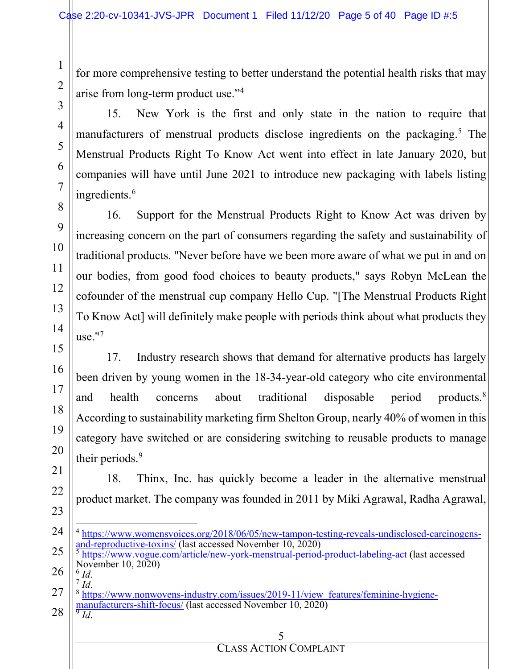for more comprehensive testing to better understand the potential health risks that may arise from long-term product use."[4](#page-4-0)

15. New York is the first and only state in the nation to require that manufacturers of menstrual products disclose ingredients on the packaging.<sup>[5](#page-4-1)</sup> The Menstrual Products Right To Know Act went into effect in late January 2020, but companies will have until June 2021 to introduce new packaging with labels listing ingredients.<sup>[6](#page-4-2)</sup>

16. Support for the Menstrual Products Right to Know Act was driven by increasing concern on the part of consumers regarding the safety and sustainability of traditional products. "Never before have we been more aware of what we put in and on our bodies, from good food choices to beauty products," says Robyn McLean the cofounder of the menstrual cup company Hello Cup. "[The Menstrual Products Right To Know Act] will definitely make people with periods think about what products they use."[7](#page-4-3)

17. Industry research shows that demand for alternative products has largely been driven by young women in the 18-34-year-old category who cite environmental and health concerns about traditional disposable period products.<sup>8</sup> According to sustainability marketing firm Shelton Group, nearly 40% of women in this category have switched or are considering switching to reusable products to manage their periods.<sup>[9](#page-4-5)</sup>

18. Thinx, Inc. has quickly become a leader in the alternative menstrual product market. The company was founded in 2011 by Miki Agrawal, Radha Agrawal,

- <span id="page-4-0"></span>24 25  $4 \frac{\text{https://www.womensvoices.org/2018/06/05/new-tampon-testing-reveals-undisclosed-carcinogens-and-reproductive-toxins/ (last accessed November 10, 2020) }$ <https://www.vogue.com/article/new-york-menstrual-period-product-labeling-act> (last accessed
	- November 10, 2020)<br><sup>6</sup> *Id*.

<span id="page-4-2"></span><span id="page-4-1"></span>26

1

2

3

4

5

6

7

8

9

10

11

12

13

14

15

16

17

18

19

20

21

22

23

- <span id="page-4-5"></span><span id="page-4-4"></span><span id="page-4-3"></span>27 28 <sup>7</sup> *Id*.<br><sup>8</sup> [https://www.nonwovens-industry.com/issues/2019-11/view\\_features/feminine-hygiene](https://www.nonwovens-industry.com/issues/2019-11/view_features/feminine-hygiene-manufacturers-shift-focus/)[manufacturers-shift-focus/](https://www.nonwovens-industry.com/issues/2019-11/view_features/feminine-hygiene-manufacturers-shift-focus/) (last accessed November 10, 2020) <sup>9</sup> *Id*.
	-

5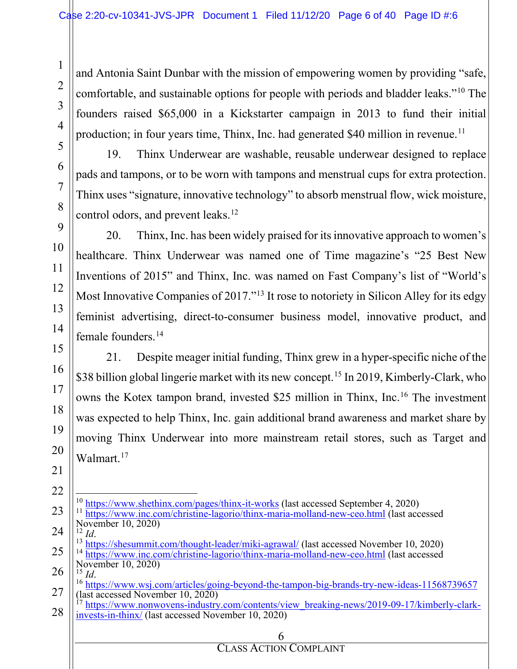and Antonia Saint Dunbar with the mission of empowering women by providing "safe, comfortable, and sustainable options for people with periods and bladder leaks."[10](#page-5-0) The founders raised \$65,000 in a Kickstarter campaign in 2013 to fund their initial production; in four years time, Thinx, Inc. had generated \$40 million in revenue.<sup>[11](#page-5-1)</sup>

19. Thinx Underwear are washable, reusable underwear designed to replace pads and tampons, or to be worn with tampons and menstrual cups for extra protection. Thinx uses "signature, innovative technology" to absorb menstrual flow, wick moisture, control odors, and prevent leaks.<sup>[12](#page-5-2)</sup>

20. Thinx, Inc. has been widely praised for its innovative approach to women's healthcare. Thinx Underwear was named one of Time magazine's "25 Best New Inventions of 2015" and Thinx, Inc. was named on Fast Company's list of "World's Most Innovative Companies of 2017."<sup>[13](#page-5-3)</sup> It rose to notoriety in Silicon Alley for its edgy feminist advertising, direct-to-consumer business model, innovative product, and female founders.<sup>[14](#page-5-4)</sup>

21. Despite meager initial funding, Thinx grew in a hyper-specific niche of the \$38 billion global lingerie market with its new concept.<sup>[15](#page-5-5)</sup> In 2019, Kimberly-Clark, who owns the Kotex tampon brand, invested \$25 million in Thinx, Inc.[16](#page-5-6) The investment was expected to help Thinx, Inc. gain additional brand awareness and market share by moving Thinx Underwear into more mainstream retail stores, such as Target and Walmart.<sup>[17](#page-5-7)</sup>

<span id="page-5-7"></span><span id="page-5-6"></span><span id="page-5-5"></span><span id="page-5-4"></span><span id="page-5-3"></span><span id="page-5-2"></span><span id="page-5-1"></span><span id="page-5-0"></span>6 28  $\frac{10 \text{ https://www.shethinx.com/pages/thinx-it-works}}{\text{https://www.inc.com/christine-lagorio/thinx-maria-molland-new-ceo.html}}$  $\frac{10 \text{ https://www.shethinx.com/pages/thinx-it-works}}{\text{https://www.inc.com/christine-lagorio/thinx-maria-molland-new-ceo.html}}$  $\frac{10 \text{ https://www.shethinx.com/pages/thinx-it-works}}{\text{https://www.inc.com/christine-lagorio/thinx-maria-molland-new-ceo.html}}$  $\frac{10 \text{ https://www.shethinx.com/pages/thinx-it-works}}{\text{https://www.inc.com/christine-lagorio/thinx-maria-molland-new-ceo.html}}$  $\frac{10 \text{ https://www.shethinx.com/pages/thinx-it-works}}{\text{https://www.inc.com/christine-lagorio/thinx-maria-molland-new-ceo.html}}$  (last accessed September 4, 2020) November 10, 2020)<br> $^{12}$  *Id.* <sup>13</sup> <https://shesummit.com/thought-leader/miki-agrawal/> (last accessed November 10, 2020) <sup>14</sup> <https://www.inc.com/christine-lagorio/thinx-maria-molland-new-ceo.html> (last accessed November 10, 2020)<br><sup>15</sup> *Id*. <sup>16</sup> <https://www.wsj.com/articles/going-beyond-the-tampon-big-brands-try-new-ideas-11568739657><br>(last accessed November 10, 2020)<br><sup>17</sup> https://www.popycycop.inductor.com/ [https://www.nonwovens-industry.com/contents/view\\_breaking-news/2019-09-17/kimberly-clark](https://www.nonwovens-industry.com/contents/view_breaking-news/2019-09-17/kimberly-clark-invests-in-thinx/)[invests-in-thinx/](https://www.nonwovens-industry.com/contents/view_breaking-news/2019-09-17/kimberly-clark-invests-in-thinx/) (last accessed November 10, 2020)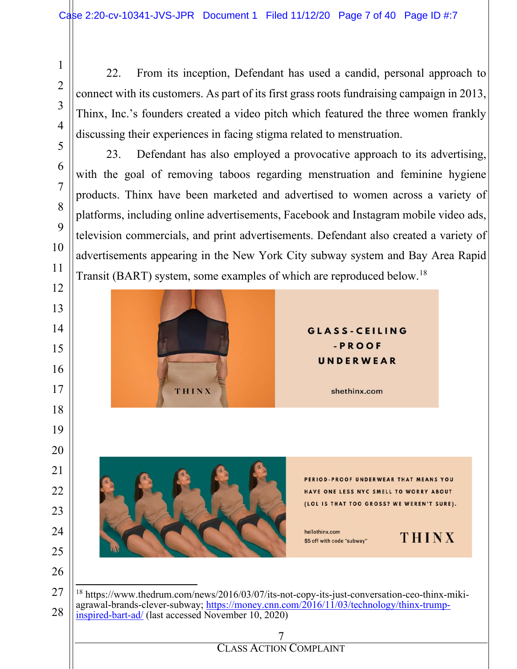1

2

3

4

5

6

7

8

9

10

11

12

13

14

15

16

17

18

19

20

21

22

23

24

25

26

22. From its inception, Defendant has used a candid, personal approach to connect with its customers. As part of its first grass roots fundraising campaign in 2013, Thinx, Inc.'s founders created a video pitch which featured the three women frankly discussing their experiences in facing stigma related to menstruation.

23. Defendant has also employed a provocative approach to its advertising, with the goal of removing taboos regarding menstruation and feminine hygiene products. Thinx have been marketed and advertised to women across a variety of platforms, including online advertisements, Facebook and Instagram mobile video ads, television commercials, and print advertisements. Defendant also created a variety of advertisements appearing in the New York City subway system and Bay Area Rapid Transit (BART) system, some examples of which are reproduced below.[18](#page-6-0)





PERIOD-PROOF UNDERWEAR THAT MEANS YOU HAVE ONE LESS NYC SMELL TO WORRY ABOUT (LOL IS THAT TOO GROSS? WE WEREN'T SURE).

hellothinx.com \$5 off with code "subway"

**THINX** 

<span id="page-6-0"></span>27 28 <sup>18</sup> https://www.thedrum.com/news/2016/03/07/its-not-copy-its-just-conversation-ceo-thinx-mikiagrawal-brands-clever-subway; [https://money.cnn.com/2016/11/03/technology/thinx-trump](https://money.cnn.com/2016/11/03/technology/thinx-trump-inspired-bart-ad/)[inspired-bart-ad/](https://money.cnn.com/2016/11/03/technology/thinx-trump-inspired-bart-ad/) (last accessed November 10, 2020)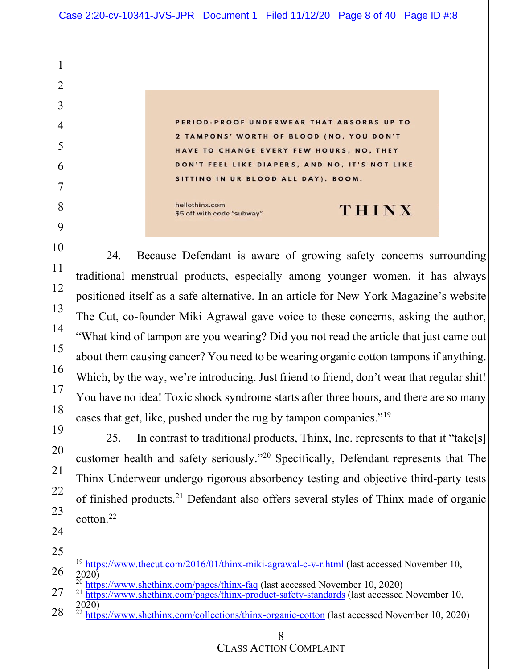PERIOD-PROOF UNDERWEAR THAT ABSORBS UP TO TAMPONS' WORTH OF BLOOD (NO, YOU DON'T HAVE TO CHANGE EVERY FEW HOURS, NO. THEY DON'T FEEL LIKE DIAPERS, AND NO, IT'S NOT LIKE SITTING IN UR BLOOD ALL DAY). BOOM.

hellothinx.com \$5 off with code "subway"

# THINX

24. Because Defendant is aware of growing safety concerns surrounding traditional menstrual products, especially among younger women, it has always positioned itself as a safe alternative. In an article for New York Magazine's website The Cut, co-founder Miki Agrawal gave voice to these concerns, asking the author, "What kind of tampon are you wearing? Did you not read the article that just came out about them causing cancer? You need to be wearing organic cotton tampons if anything. Which, by the way, we're introducing. Just friend to friend, don't wear that regular shit! You have no idea! Toxic shock syndrome starts after three hours, and there are so many cases that get, like, pushed under the rug by tampon companies."[19](#page-7-0)

25. In contrast to traditional products, Thinx, Inc. represents to that it "take[s] customer health and safety seriously."[20](#page-7-1) Specifically, Defendant represents that The Thinx Underwear undergo rigorous absorbency testing and objective third-party tests of finished products.[21](#page-7-2) Defendant also offers several styles of Thinx made of organic cotton.[22](#page-7-3)

- <span id="page-7-0"></span><sup>19</sup> <https://www.thecut.com/2016/01/thinx-miki-agrawal-c-v-r.html> (last accessed November 10,  $20\overline{20}$ <br> $\frac{20}{20}$  https://www.shethinx.com/pages/thinx-faq (last accessed November 10, 2020)
- <span id="page-7-1"></span>
- <span id="page-7-2"></span> $^{21}$  <https://www.shethinx.com/pages/thinx-product-safety-standards> (last accessed November 10, 2020)
- <span id="page-7-3"></span> $^{22}$  <https://www.shethinx.com/collections/thinx-organic-cotton> (last accessed November 10, 2020)

#### 8

#### CLASS ACTION COMPLAINT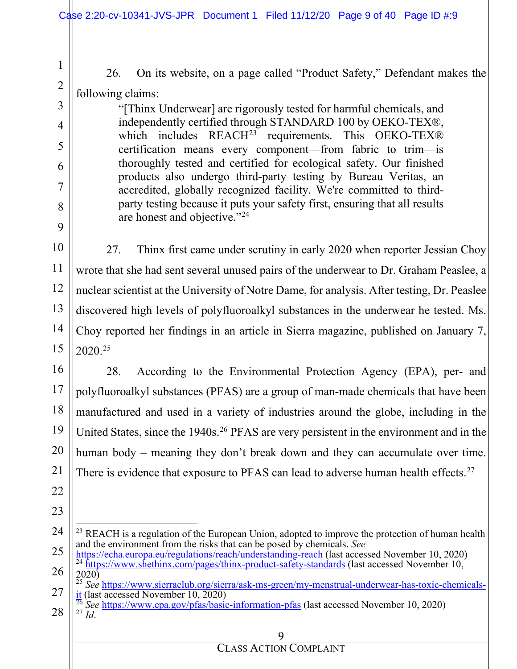26. On its website, on a page called "Product Safety," Defendant makes the following claims:

"[Thinx Underwear] are rigorously tested for harmful chemicals, and independently certified through STANDARD 100 by OEKO-TEX®, which includes  $REACH^{23}$  $REACH^{23}$  $REACH^{23}$  requirements. This OEKO-TEX® certification means every component—from fabric to trim—is thoroughly tested and certified for ecological safety. Our finished products also undergo third-party testing by Bureau Veritas, an accredited, globally recognized facility. We're committed to thirdparty testing because it puts your safety first, ensuring that all results are honest and objective."[24](#page-8-1)

27. Thinx first came under scrutiny in early 2020 when reporter Jessian Choy wrote that she had sent several unused pairs of the underwear to Dr. Graham Peaslee, a nuclear scientist at the University of Notre Dame, for analysis. After testing, Dr. Peaslee discovered high levels of polyfluoroalkyl substances in the underwear he tested. Ms. Choy reported her findings in an article in Sierra magazine, published on January 7,  $2020^{25}$  $2020^{25}$  $2020^{25}$ 

16 18 19 20 28. According to the Environmental Protection Agency (EPA), per- and polyfluoroalkyl substances (PFAS) are a group of man-made chemicals that have been manufactured and used in a variety of industries around the globe, including in the United States, since the 1940s.<sup>26</sup> PFAS are very persistent in the environment and in the human body – meaning they don't break down and they can accumulate over time. There is evidence that exposure to PFAS can lead to adverse human health effects.<sup>[27](#page-8-4)</sup>

<span id="page-8-0"></span>24 25  $^{23}$  REACH is a regulation of the European Union, adopted to improve the protection of human health and the environment from the risks that can be posed by chemicals. *See*<br>https://echa.europa.eu/regulations/reach/understanding-reach (last accessed November 10, 2020)

<span id="page-8-1"></span>26 27  $\frac{1}{24}$  <https://www.shethinx.com/pages/thinx-product-safety-standards> (last accessed November 10, 2020) <sup>25</sup> *See* [https://www.sierraclub.org/sierra/ask-ms-green/my-menstrual-underwear-has-toxic-chemicals-](https://www.sierraclub.org/sierra/ask-ms-green/my-menstrual-underwear-has-toxic-chemicals-it)

- <span id="page-8-4"></span><span id="page-8-3"></span><span id="page-8-2"></span>28 [it](https://www.sierraclub.org/sierra/ask-ms-green/my-menstrual-underwear-has-toxic-chemicals-it) (last accessed November 10, 2020)<br><sup>26</sup> *See* <https://www.epa.gov/pfas/basic-information-pfas> (last accessed November 10, 2020) <sup>27</sup> *Id* 
	-

1

2

3

4

5

6

7

8

9

10

11

12

13

14

15

17

21

22

23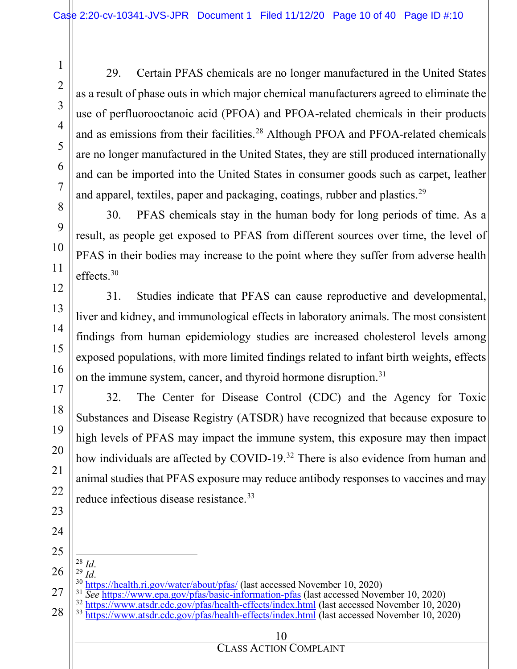29. Certain PFAS chemicals are no longer manufactured in the United States as a result of phase outs in which major chemical manufacturers agreed to eliminate the use of perfluorooctanoic acid (PFOA) and PFOA-related chemicals in their products and as emissions from their facilities.<sup>[28](#page-9-0)</sup> Although PFOA and PFOA-related chemicals are no longer manufactured in the United States, they are still produced internationally and can be imported into the United States in consumer goods such as carpet, leather and apparel, textiles, paper and packaging, coatings, rubber and plastics.<sup>[29](#page-9-1)</sup>

30. PFAS chemicals stay in the human body for long periods of time. As a result, as people get exposed to PFAS from different sources over time, the level of PFAS in their bodies may increase to the point where they suffer from adverse health effects. $30$ 

31. Studies indicate that PFAS can cause reproductive and developmental, liver and kidney, and immunological effects in laboratory animals. The most consistent findings from human epidemiology studies are increased cholesterol levels among exposed populations, with more limited findings related to infant birth weights, effects on the immune system, cancer, and thyroid hormone disruption.<sup>[31](#page-9-3)</sup>

32. The Center for Disease Control (CDC) and the Agency for Toxic Substances and Disease Registry (ATSDR) have recognized that because exposure to high levels of PFAS may impact the immune system, this exposure may then impact how individuals are affected by COVID-19.<sup>[32](#page-9-4)</sup> There is also evidence from human and animal studies that PFAS exposure may reduce antibody responses to vaccines and may reduce infectious disease resistance.<sup>[33](#page-9-5)</sup>

24 25

1

2

3

4

5

6

7

8

9

10

11

12

13

14

15

16

17

18

19

20

21

22

- <span id="page-9-5"></span><span id="page-9-4"></span><span id="page-9-3"></span><span id="page-9-2"></span><span id="page-9-1"></span><span id="page-9-0"></span>26
	-
- 27 28 <sup>28</sup> *Id.*<br><sup>29</sup> *Id.*<br><sup>30</sup> <u><https://health.ri.gov/water/about/pfas/></u> (last accessed November 10, 2020)<br><sup>31</sup> *See* <https://www.epa.gov/pfas/basic-information-pfas> (last accessed November 10, 2020)<br><sup>32</sup> https://www.atsdr.cd
	-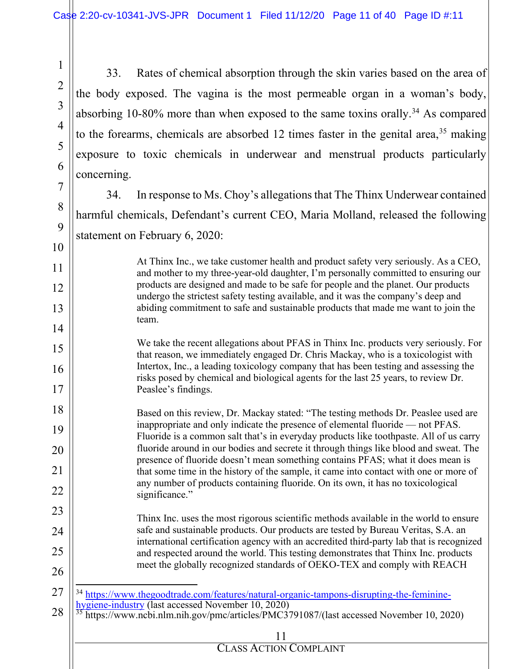1

2

3

4

5

6

7

8

9

10

11

12

13

14

15

16

17

18

19

20

21

22

23

24

25

26

33. Rates of chemical absorption through the skin varies based on the area of the body exposed. The vagina is the most permeable organ in a woman's body, absorbing 10-80% more than when exposed to the same toxins orally.<sup>[34](#page-10-0)</sup> As compared to the forearms, chemicals are absorbed 12 times faster in the genital area,  $35$  making exposure to toxic chemicals in underwear and menstrual products particularly concerning.

34. In response to Ms. Choy's allegations that The Thinx Underwear contained harmful chemicals, Defendant's current CEO, Maria Molland, released the following statement on February 6, 2020:

> At Thinx Inc., we take customer health and product safety very seriously. As a CEO, and mother to my three-year-old daughter, I'm personally committed to ensuring our products are designed and made to be safe for people and the planet. Our products undergo the strictest safety testing available, and it was the company's deep and abiding commitment to safe and sustainable products that made me want to join the team.

We take the recent allegations about PFAS in Thinx Inc. products very seriously. For that reason, we immediately engaged Dr. Chris Mackay, who is a toxicologist with Intertox, Inc., a leading toxicology company that has been testing and assessing the risks posed by chemical and biological agents for the last 25 years, to review Dr. Peaslee's findings.

Based on this review, Dr. Mackay stated: "The testing methods Dr. Peaslee used are inappropriate and only indicate the presence of elemental fluoride — not PFAS. Fluoride is a common salt that's in everyday products like toothpaste. All of us carry fluoride around in our bodies and secrete it through things like blood and sweat. The presence of fluoride doesn't mean something contains PFAS; what it does mean is that some time in the history of the sample, it came into contact with one or more of any number of products containing fluoride. On its own, it has no toxicological significance."

Thinx Inc. uses the most rigorous scientific methods available in the world to ensure safe and sustainable products. Our products are tested by Bureau Veritas, S.A. an international certification agency with an accredited third-party lab that is recognized and respected around the world. This testing demonstrates that Thinx Inc. products meet the globally recognized standards of OEKO-TEX and comply with REACH

<span id="page-10-1"></span><span id="page-10-0"></span>

| $27$    34 https://www.thegoodtrade.com/features/natural-organic-tampons-disrupting-the-feminine-                                                                                          |
|--------------------------------------------------------------------------------------------------------------------------------------------------------------------------------------------|
| $28$ $\left\  \frac{\text{hygiene-industry}}{35} \right\ $ (last accessed November 10, 2020)<br>28 $\left\  \frac{\text{hygiene-industry}}{35} \right\ $ (last accessed November 10, 2020) |
|                                                                                                                                                                                            |

https://www.ncbi.nlm.nih.gov/pmc/articles/PMC3791087/(last accessed November 10, 2020)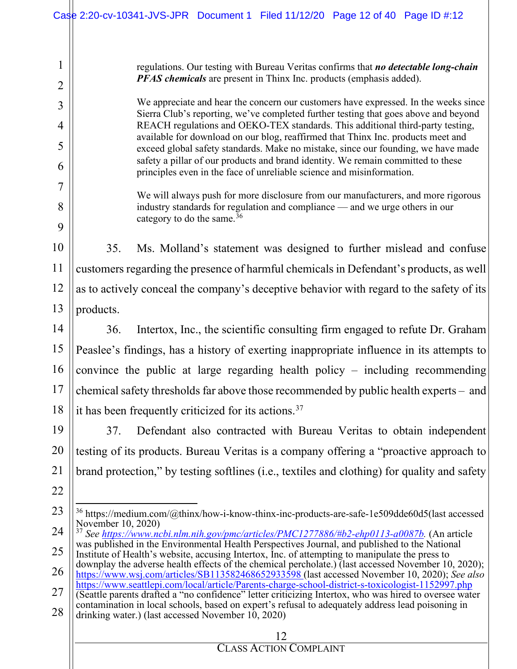#### <span id="page-11-1"></span><span id="page-11-0"></span>12 CLASS ACTION COMPLAINT 1 2 3 4 5 6 7 8 9 10 11 12 13 14 15 16 17 18 19 20 21 22 23 24 25 26 27 28 regulations. Our testing with Bureau Veritas confirms that *no detectable long-chain PFAS chemicals* are present in Thinx Inc. products (emphasis added). We appreciate and hear the concern our customers have expressed. In the weeks since Sierra Club's reporting, we've completed further testing that goes above and beyond REACH regulations and OEKO-TEX standards. This additional third-party testing, available for download on our blog, reaffirmed that Thinx Inc. products meet and exceed global safety standards. Make no mistake, since our founding, we have made safety a pillar of our products and brand identity. We remain committed to these principles even in the face of unreliable science and misinformation. We will always push for more disclosure from our manufacturers, and more rigorous industry standards for regulation and compliance — and we urge others in our category to do the same. $36$ 35. Ms. Molland's statement was designed to further mislead and confuse customers regarding the presence of harmful chemicals in Defendant's products, as well as to actively conceal the company's deceptive behavior with regard to the safety of its products. 36. Intertox, Inc., the scientific consulting firm engaged to refute Dr. Graham Peaslee's findings, has a history of exerting inappropriate influence in its attempts to convince the public at large regarding health policy – including recommending chemical safety thresholds far above those recommended by public health experts – and it has been frequently criticized for its actions.<sup>[37](#page-11-1)</sup> 37. Defendant also contracted with Bureau Veritas to obtain independent testing of its products. Bureau Veritas is a company offering a "proactive approach to brand protection," by testing softlines (i.e., textiles and clothing) for quality and safety <sup>36</sup> https://medium.com/@thinx/how-i-know-thinx-inc-products-are-safe-1e509dde60d5(last accessed November 10, 2020) <sup>37</sup> *See [https://www.ncbi.nlm.nih.gov/pmc/articles/PMC1277886/#b2-ehp0113-a0087b.](https://www.ncbi.nlm.nih.gov/pmc/articles/PMC1277886/#b2-ehp0113-a0087b)* (An article was published in the Environmental Health Perspectives Journal, and published to the National Institute of Health's website, accusing Intertox, Inc. of attempting to manipulate the press to downplay the adverse health effects of the chemical percholate.) (last accessed November 10, 2020); <https://www.wsj.com/articles/SB113582468652933598> (last accessed November 10, 2020); *See also* <https://www.seattlepi.com/local/article/Parents-charge-school-district-s-toxicologist-1152997.php> (Seattle parents drafted a "no confidence" letter criticizing Intertox, who was hired to oversee water contamination in local schools, based on expert's refusal to adequately address lead poisoning in drinking water.) (last accessed November  $10, 2020$ ) Case 2:20-cv-10341-JVS-JPR Document 1 Filed 11/12/20 Page 12 of 40 Page ID #:12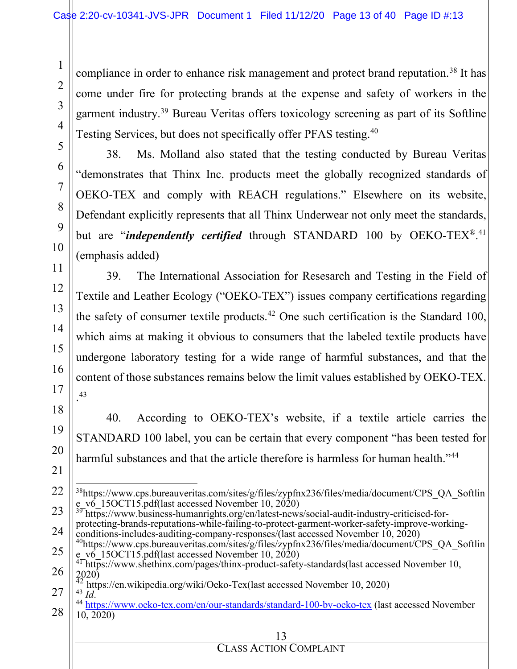compliance in order to enhance risk management and protect brand reputation.<sup>[38](#page-12-0)</sup> It has come under fire for protecting brands at the expense and safety of workers in the garment industry[.39](#page-12-1) Bureau Veritas offers toxicology screening as part of its Softline Testing Services, but does not specifically offer PFAS testing.[40](#page-12-2)

38. Ms. Molland also stated that the testing conducted by Bureau Veritas "demonstrates that Thinx Inc. products meet the globally recognized standards of OEKO-TEX and comply with REACH regulations." Elsewhere on its website, Defendant explicitly represents that all Thinx Underwear not only meet the standards, but are "*independently certified* through STANDARD 100 by OEKO-TEX<sup>®</sup>.<sup>[41](#page-12-3)</sup> (emphasis added)

39. The International Association for Resesarch and Testing in the Field of Textile and Leather Ecology ("OEKO-TEX") issues company certifications regarding the safety of consumer textile products.<sup>[42](#page-12-4)</sup> One such certification is the Standard 100, which aims at making it obvious to consumers that the labeled textile products have undergone laboratory testing for a wide range of harmful substances, and that the content of those substances remains below the limit values established by OEKO-TEX. . [43](#page-12-5)

40. According to OEKO-TEX's website, if a textile article carries the STANDARD 100 label, you can be certain that every component "has been tested for harmful substances and that the article therefore is harmless for human health."<sup>44</sup>

protecting-brands-reputations-while-failing-to-protect-garment-worker-safety-improve-working-<br>conditions-includes-auditing-company-responses/(last accessed November 10, 2020)

<span id="page-12-0"></span><sup>38</sup>https://www.cps.bureauveritas.com/sites/g/files/zypfnx236/files/media/document/CPS\_QA\_Softlin e\_v6\_15OCT15.pdf(last accessed November 10, 2020)  $^{-1}$ <br><sup>39</sup> https://www.business-humanrights.org/en/latest-news/social-audit-industry-criticised-for-

<span id="page-12-2"></span><span id="page-12-1"></span>exponsions-includes-auditing-company-responses/(last accessed November 10, 2020)<br>auditions://www.cps.bureauveritas.com/sites/g/files/zypfnx236/files/media/document/CPS\_QA\_Softlin<br>e v6 15OCT15.pdf(last accessed November 10,

 $^{4\Gamma}$ htt $\overline{p}$ s://www.shethinx.com/pages/thinx-product-safety-standards(last accessed November 10, 2020)

<span id="page-12-6"></span><span id="page-12-5"></span><span id="page-12-4"></span><span id="page-12-3"></span><sup>&</sup>lt;sup>42</sup> https://en.wikipedia.org/wiki/Oeko-Tex(last accessed November 10, 2020)<br><sup>43</sup> *Id.* htt<u>ps://www.oeko-tex.com/en/our-standards/standard-100-by-oeko-tex</u> (last accessed November 10, 2020)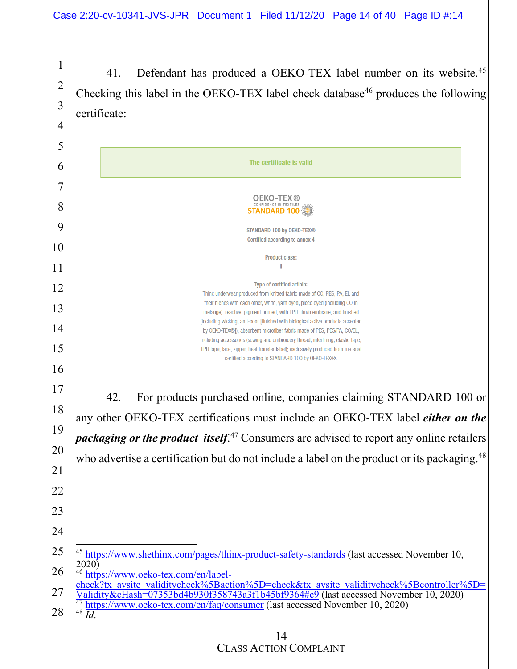41. Defendant has produced a OEKO-TEX label number on its website.<sup>[45](#page-13-0)</sup> Checking this label in the OEKO-TEX label check database<sup>[46](#page-13-1)</sup> produces the following certificate:

<span id="page-13-3"></span><span id="page-13-2"></span><span id="page-13-1"></span><span id="page-13-0"></span>

| 5  |                                                                                                                                                                                  |
|----|----------------------------------------------------------------------------------------------------------------------------------------------------------------------------------|
| 6  | The certificate is valid                                                                                                                                                         |
|    |                                                                                                                                                                                  |
| 8  | <b>OEKO-TEX®</b><br><b>STANDARD 100</b>                                                                                                                                          |
| 9  |                                                                                                                                                                                  |
|    | <b>STANDARD 100 by OEKO-TEX®</b><br>Certified according to annex 4                                                                                                               |
| 10 | <b>Product class:</b>                                                                                                                                                            |
| 11 |                                                                                                                                                                                  |
| 12 | Type of certified article:<br>Thinx underwear produced from knitted fabric made of CO, PES, PA, EL and                                                                           |
| 13 | their blends with each other, white, yarn dyed, piece dyed (including CO in                                                                                                      |
|    | mélange), reactive, pigment printed, with TPU film/membrane, and finished<br>(including wicking, anti-odor [finished with biological active products accepted                    |
| 14 | by OEKO-TEX®]), absorbent microfiber fabric made of PES, PES/PA, CO/EL;<br>including accessories (sewing and embroidery thread, interlining, elastic tape,                       |
| 15 | TPU tape, lace, zipper, heat transfer label); exclusively produced from material<br>certified according to STANDARD 100 by OEKO-TEX®.                                            |
| 16 |                                                                                                                                                                                  |
| 17 |                                                                                                                                                                                  |
|    | 42.<br>For products purchased online, companies claiming STANDARD 100 or                                                                                                         |
| 18 | any other OEKO-TEX certifications must include an OEKO-TEX label either on the                                                                                                   |
| 19 | <i>packaging or the product itself.</i> <sup>47</sup> Consumers are advised to report any online retailers                                                                       |
| 20 | who advertise a certification but do not include a label on the product or its packaging. <sup>48</sup>                                                                          |
| 21 |                                                                                                                                                                                  |
| 22 |                                                                                                                                                                                  |
|    |                                                                                                                                                                                  |
| 23 |                                                                                                                                                                                  |
| 24 |                                                                                                                                                                                  |
| 25 | <sup>45</sup> https://www.shethinx.com/pages/thinx-product-safety-standards (last accessed November 10,                                                                          |
| 26 | 2020)<br>46<br>https://www.oeko-tex.com/en/label-                                                                                                                                |
|    | check?tx avsite validitycheck%5Baction%5D=check&tx_avsite_validitycheck%5Bcontroller%5D=                                                                                         |
| 27 | Validity&cHash=07353bd4b930f358743a3f1b45bf9364#c9 (last accessed November 10, 2020)<br><sup>47</sup> https://www.oeko-tex.com/en/faq/consumer (last accessed November 10, 2020) |
| 28 | $48\overline{Id}$ .                                                                                                                                                              |
|    | 14                                                                                                                                                                               |
|    | <b>CLASS ACTION COMPLAINT</b>                                                                                                                                                    |
|    |                                                                                                                                                                                  |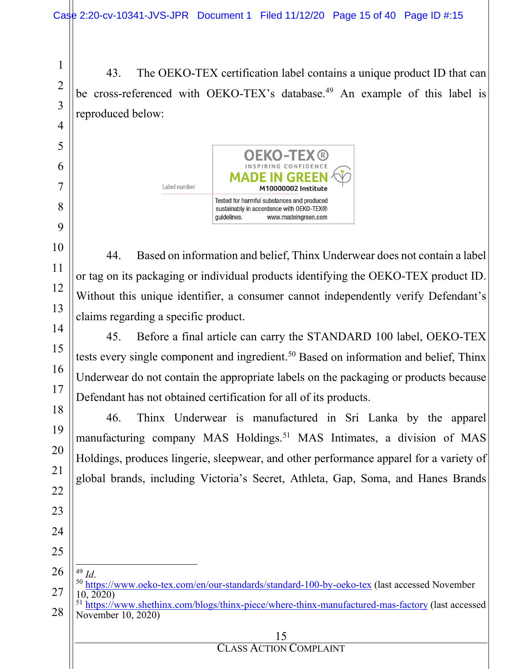43. The OEKO-TEX certification label contains a unique product ID that can be cross-referenced with OEKO-TEX's database.<sup>[49](#page-14-0)</sup> An example of this label is reproduced below:



44. Based on information and belief, Thinx Underwear does not contain a label or tag on its packaging or individual products identifying the OEKO-TEX product ID. Without this unique identifier, a consumer cannot independently verify Defendant's claims regarding a specific product.

45. Before a final article can carry the STANDARD 100 label, OEKO-TEX tests every single component and ingredient.<sup>[50](#page-14-1)</sup> Based on information and belief, Thinx Underwear do not contain the appropriate labels on the packaging or products because Defendant has not obtained certification for all of its products.

46. Thinx Underwear is manufactured in Sri Lanka by the apparel manufacturing company MAS Holdings.<sup>[51](#page-14-2)</sup> MAS Intimates, a division of MAS Holdings, produces lingerie, sleepwear, and other performance apparel for a variety of global brands, including Victoria's Secret, Athleta, Gap, Soma, and Hanes Brands

<span id="page-14-0"></span>

- <sup>49</sup> *Id*.<br><sup>50</sup> <https://www.oeko-tex.com/en/our-standards/standard-100-by-oeko-tex> (last accessed November 10, 2020)
- <span id="page-14-2"></span><span id="page-14-1"></span> $51 \text{ https://www.shethinx.com/blogs/thinx-piece/where-thinx-manufactured-mas-factory (last accessed)$  $51 \text{ https://www.shethinx.com/blogs/thinx-piece/where-thinx-manufactured-mas-factory (last accessed)$  $51 \text{ https://www.shethinx.com/blogs/thinx-piece/where-thinx-manufactured-mas-factory (last accessed)$ November 10, 2020)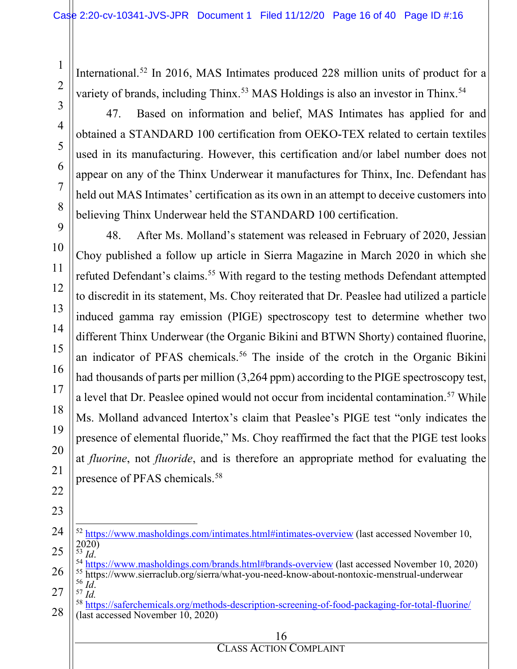International.<sup>[52](#page-15-0)</sup> In 2016, MAS Intimates produced 228 million units of product for a variety of brands, including Thinx.<sup>[53](#page-15-1)</sup> MAS Holdings is also an investor in Thinx.<sup>[54](#page-15-2)</sup>

1

2

3

4

5

6

7

8

9

10

11

12

13

14

15

16

17

18

19

20

21

22

23

47. Based on information and belief, MAS Intimates has applied for and obtained a STANDARD 100 certification from OEKO-TEX related to certain textiles used in its manufacturing. However, this certification and/or label number does not appear on any of the Thinx Underwear it manufactures for Thinx, Inc. Defendant has held out MAS Intimates' certification as its own in an attempt to deceive customers into believing Thinx Underwear held the STANDARD 100 certification.

48. After Ms. Molland's statement was released in February of 2020, Jessian Choy published a follow up article in Sierra Magazine in March 2020 in which she refuted Defendant's claims.<sup>[55](#page-15-3)</sup> With regard to the testing methods Defendant attempted to discredit in its statement, Ms. Choy reiterated that Dr. Peaslee had utilized a particle induced gamma ray emission (PIGE) spectroscopy test to determine whether two different Thinx Underwear (the Organic Bikini and BTWN Shorty) contained fluorine, an indicator of PFAS chemicals.<sup>[56](#page-15-4)</sup> The inside of the crotch in the Organic Bikini had thousands of parts per million (3,264 ppm) according to the PIGE spectroscopy test, a level that Dr. Peaslee opined would not occur from incidental contamination.<sup>[57](#page-15-5)</sup> While Ms. Molland advanced Intertox's claim that Peaslee's PIGE test "only indicates the presence of elemental fluoride," Ms. Choy reaffirmed the fact that the PIGE test looks at *fluorine*, not *fluoride*, and is therefore an appropriate method for evaluating the presence of PFAS chemicals.[58](#page-15-6)

<span id="page-15-0"></span><sup>24</sup> 25 <sup>52</sup> <https://www.masholdings.com/intimates.html#intimates-overview> (last accessed November 10,  $^{2020}_{^{53}$  *Id.* 

<span id="page-15-3"></span><span id="page-15-2"></span><span id="page-15-1"></span><sup>26</sup> <sup>54</sup> <https://www.masholdings.com/brands.html#brands-overview> (last accessed November 10, 2020)<br><sup>55</sup> https://www.sierraclub.org/sierra/what-you-need-know-about-nontoxic-menstrual-underwear<br><sup>56</sup> *Id*.

<span id="page-15-5"></span><span id="page-15-4"></span><sup>27</sup>  $\overline{57}$   $\overline{Id}$ .

<span id="page-15-6"></span><sup>28</sup> <sup>58</sup> <https://saferchemicals.org/methods-description-screening-of-food-packaging-for-total-fluorine/> (last accessed November 10, 2020)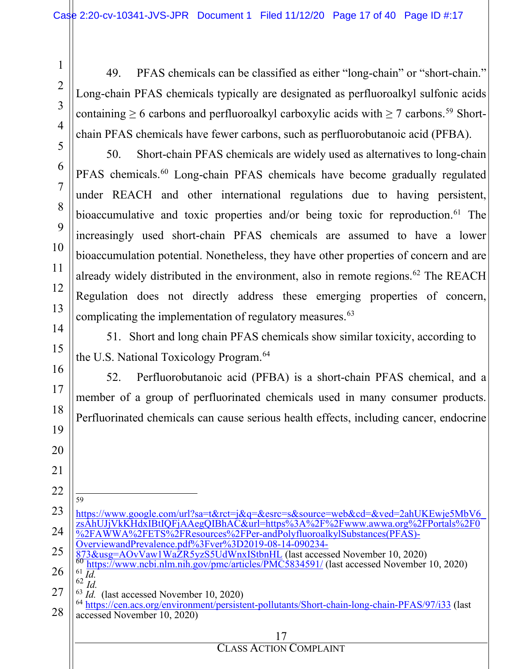49. PFAS chemicals can be classified as either "long-chain" or "short-chain." Long-chain PFAS chemicals typically are designated as perfluoroalkyl sulfonic acids containing  $\geq 6$  carbons and perfluoroalkyl carboxylic acids with  $\geq 7$  carbons.<sup>[59](#page-16-0)</sup> Shortchain PFAS chemicals have fewer carbons, such as perfluorobutanoic acid (PFBA).

50. Short-chain PFAS chemicals are widely used as alternatives to long-chain PFAS chemicals.<sup>[60](#page-16-1)</sup> Long-chain PFAS chemicals have become gradually regulated under REACH and other international regulations due to having persistent, bioaccumulative and toxic properties and/or being toxic for reproduction.<sup>[61](#page-16-2)</sup> The increasingly used short-chain PFAS chemicals are assumed to have a lower bioaccumulation potential. Nonetheless, they have other properties of concern and are already widely distributed in the environment, also in remote regions.<sup>[62](#page-16-3)</sup> The REACH Regulation does not directly address these emerging properties of concern, complicating the implementation of regulatory measures.<sup>[63](#page-16-4)</sup>

51. Short and long chain PFAS chemicals show similar toxicity, according to the U.S. National Toxicology Program.<sup>[64](#page-16-5)</sup>

52. Perfluorobutanoic acid (PFBA) is a short-chain PFAS chemical, and a member of a group of perfluorinated chemicals used in many consumer products. Perfluorinated chemicals can cause serious health effects, including cancer, endocrine

<span id="page-16-0"></span>[https://www.google.com/url?sa=t&rct=j&q=&esrc=s&source=web&cd=&ved=2ahUKEwje5MbV6\\_](https://www.google.com/url?sa=t&rct=j&q=&esrc=s&source=web&cd=&ved=2ahUKEwje5MbV6_zsAhUJjVkKHdxIBtIQFjAAegQIBhAC&url=https%3A%2F%2Fwww.awwa.org%2FPortals%2F0%2FAWWA%2FETS%2FResources%2FPer-andPolyfluoroalkylSubstances(PFAS)-OverviewandPrevalence.pdf%3Fver%3D2019-08-14-090234-873&usg=AOvVaw1WaZR5yzS5UdWnxIStbnHL) [zsAhUJjVkKHdxIBtIQFjAAegQIBhAC&url=https%3A%2F%2Fwww.awwa.org%2FPortals%2F0](https://www.google.com/url?sa=t&rct=j&q=&esrc=s&source=web&cd=&ved=2ahUKEwje5MbV6_zsAhUJjVkKHdxIBtIQFjAAegQIBhAC&url=https%3A%2F%2Fwww.awwa.org%2FPortals%2F0%2FAWWA%2FETS%2FResources%2FPer-andPolyfluoroalkylSubstances(PFAS)-OverviewandPrevalence.pdf%3Fver%3D2019-08-14-090234-873&usg=AOvVaw1WaZR5yzS5UdWnxIStbnHL) [%2FAWWA%2FETS%2FResources%2FPer-andPolyfluoroalkylSubstances\(PFAS\)-](https://www.google.com/url?sa=t&rct=j&q=&esrc=s&source=web&cd=&ved=2ahUKEwje5MbV6_zsAhUJjVkKHdxIBtIQFjAAegQIBhAC&url=https%3A%2F%2Fwww.awwa.org%2FPortals%2F0%2FAWWA%2FETS%2FResources%2FPer-andPolyfluoroalkylSubstances(PFAS)-OverviewandPrevalence.pdf%3Fver%3D2019-08-14-090234-873&usg=AOvVaw1WaZR5yzS5UdWnxIStbnHL) [OverviewandPrevalence.pdf%3Fver%3D2019-08-14-090234-](https://www.google.com/url?sa=t&rct=j&q=&esrc=s&source=web&cd=&ved=2ahUKEwje5MbV6_zsAhUJjVkKHdxIBtIQFjAAegQIBhAC&url=https%3A%2F%2Fwww.awwa.org%2FPortals%2F0%2FAWWA%2FETS%2FResources%2FPer-andPolyfluoroalkylSubstances(PFAS)-OverviewandPrevalence.pdf%3Fver%3D2019-08-14-090234-873&usg=AOvVaw1WaZR5yzS5UdWnxIStbnHL)<br>873&usg=AOvVaw1WaZR5yzS5UdWnxIStbnHL (last accessed November 10, 2020)

<sup>60</sup> <https://www.ncbi.nlm.nih.gov/pmc/articles/PMC5834591/> (last accessed November 10, 2020) 61 *Id.* 

<span id="page-16-5"></span><span id="page-16-4"></span><span id="page-16-3"></span><sup>64</sup> <https://cen.acs.org/environment/persistent-pollutants/Short-chain-long-chain-PFAS/97/i33> (last accessed November 10, 2020)

#### 17

#### CLASS ACTION COMPLAINT

<span id="page-16-2"></span><span id="page-16-1"></span> $\frac{62}{1}$  *Id.*<br> $\frac{62}{1}$  *Id.* (last accessed November 10, 2020)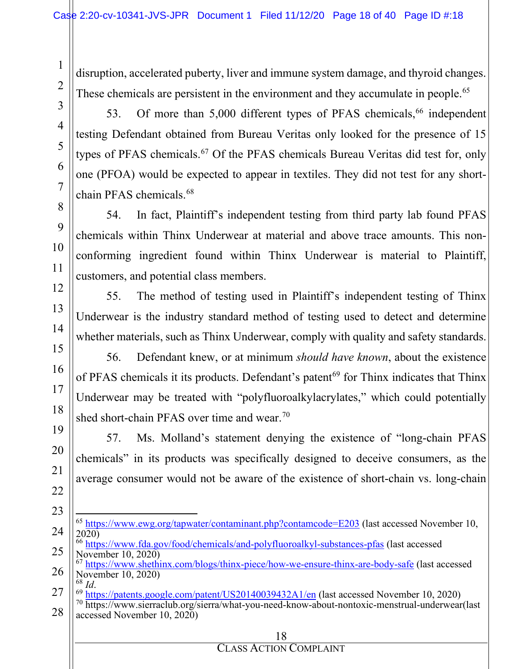disruption, accelerated puberty, liver and immune system damage, and thyroid changes. These chemicals are persistent in the environment and they accumulate in people.<sup>[65](#page-17-0)</sup>

1

53. Of more than 5,000 different types of PFAS chemicals,  $66$  independent testing Defendant obtained from Bureau Veritas only looked for the presence of 15 types of PFAS chemicals.[67](#page-17-2) Of the PFAS chemicals Bureau Veritas did test for, only one (PFOA) would be expected to appear in textiles. They did not test for any shortchain PFAS chemicals. [68](#page-17-3)

54. In fact, Plaintiff's independent testing from third party lab found PFAS chemicals within Thinx Underwear at material and above trace amounts. This nonconforming ingredient found within Thinx Underwear is material to Plaintiff, customers, and potential class members.

55. The method of testing used in Plaintiff's independent testing of Thinx Underwear is the industry standard method of testing used to detect and determine whether materials, such as Thinx Underwear, comply with quality and safety standards.

56. Defendant knew, or at minimum *should have known*, about the existence of PFAS chemicals it its products. Defendant's patent<sup>[69](#page-17-4)</sup> for Thinx indicates that Thinx Underwear may be treated with "polyfluoroalkylacrylates," which could potentially shed short-chain PFAS over time and wear.<sup>[70](#page-17-5)</sup>

57. Ms. Molland's statement denying the existence of "long-chain PFAS chemicals" in its products was specifically designed to deceive consumers, as the average consumer would not be aware of the existence of short-chain vs. long-chain

- <sup>65</sup> <https://www.ewg.org/tapwater/contaminant.php?contamcode=E203> (last accessed November 10, 2020)
- <span id="page-17-1"></span><span id="page-17-0"></span><sup>66</sup> <https://www.fda.gov/food/chemicals/and-polyfluoroalkyl-substances-pfas> (last accessed November 10, 2020)

<span id="page-17-2"></span><sup>67</sup> <https://www.shethinx.com/blogs/thinx-piece/how-we-ensure-thinx-are-body-safe> (last accessed November 10, 2020)<br><sup>68</sup> *Id*.

<span id="page-17-5"></span><span id="page-17-4"></span><span id="page-17-3"></span>28 <sup>69</sup> <https://patents.google.com/patent/US20140039432A1/en> (last accessed November 10, 2020)<br><sup>70</sup> https://www.sierraclub.org/sierra/what-you-need-know-about-nontoxic-menstrual-underwear(last accessed November 10, 2020)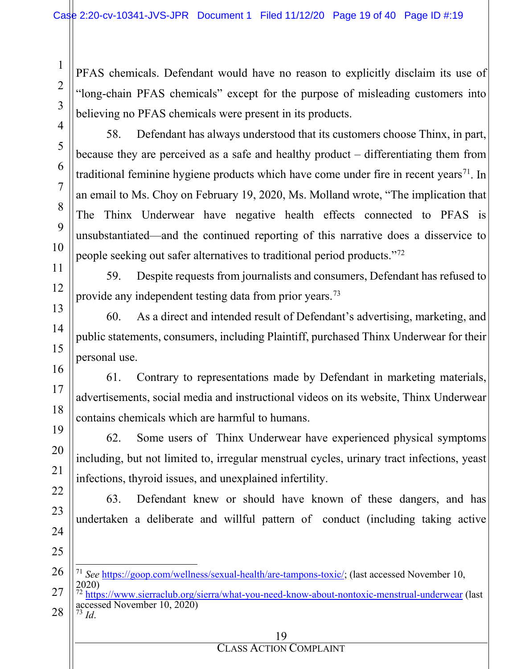PFAS chemicals. Defendant would have no reason to explicitly disclaim its use of "long-chain PFAS chemicals" except for the purpose of misleading customers into believing no PFAS chemicals were present in its products.

1

2

58. Defendant has always understood that its customers choose Thinx, in part, because they are perceived as a safe and healthy product – differentiating them from traditional feminine hygiene products which have come under fire in recent years<sup>[71](#page-18-0)</sup>. In an email to Ms. Choy on February 19, 2020, Ms. Molland wrote, "The implication that The Thinx Underwear have negative health effects connected to PFAS is unsubstantiated—and the continued reporting of this narrative does a disservice to people seeking out safer alternatives to traditional period products.["72](#page-18-1)

59. Despite requests from journalists and consumers, Defendant has refused to provide any independent testing data from prior years.[73](#page-18-2)

60. As a direct and intended result of Defendant's advertising, marketing, and public statements, consumers, including Plaintiff, purchased Thinx Underwear for their personal use.

61. Contrary to representations made by Defendant in marketing materials, advertisements, social media and instructional videos on its website, Thinx Underwear contains chemicals which are harmful to humans.

62. Some users of Thinx Underwear have experienced physical symptoms including, but not limited to, irregular menstrual cycles, urinary tract infections, yeast infections, thyroid issues, and unexplained infertility.

63. Defendant knew or should have known of these dangers, and has undertaken a deliberate and willful pattern of conduct (including taking active

<span id="page-18-2"></span><span id="page-18-1"></span>

|  | ٠<br>۰.<br>۰.<br>۰. |
|--|---------------------|
|--|---------------------|

<span id="page-18-0"></span><sup>71</sup> *See* [https://goop.com/wellness/sexual-health/are-tampons-toxic/;](https://goop.com/wellness/sexual-health/are-tampons-toxic/) (last accessed November 10, 2020)

<sup>&</sup>lt;sup>72</sup> <https://www.sierraclub.org/sierra/what-you-need-know-about-nontoxic-menstrual-underwear> (last accessed November 10, 2020) <sup>73</sup> *Id*.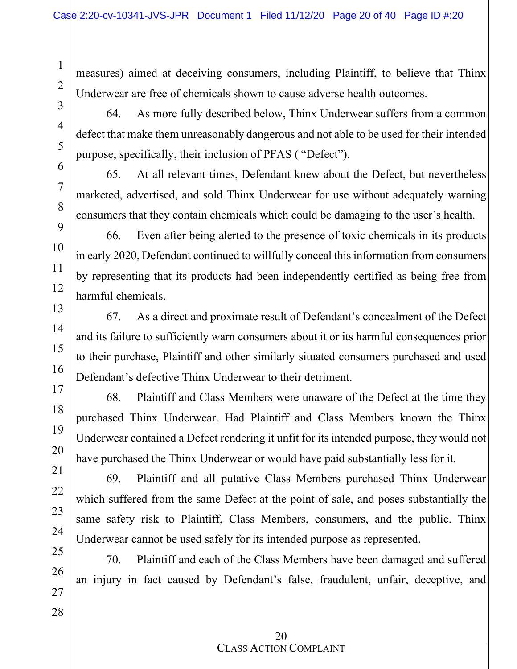measures) aimed at deceiving consumers, including Plaintiff, to believe that Thinx Underwear are free of chemicals shown to cause adverse health outcomes.

64. As more fully described below, Thinx Underwear suffers from a common defect that make them unreasonably dangerous and not able to be used for their intended purpose, specifically, their inclusion of PFAS ( "Defect").

65. At all relevant times, Defendant knew about the Defect, but nevertheless marketed, advertised, and sold Thinx Underwear for use without adequately warning consumers that they contain chemicals which could be damaging to the user's health.

66. Even after being alerted to the presence of toxic chemicals in its products in early 2020, Defendant continued to willfully conceal this information from consumers by representing that its products had been independently certified as being free from harmful chemicals.

67. As a direct and proximate result of Defendant's concealment of the Defect and its failure to sufficiently warn consumers about it or its harmful consequences prior to their purchase, Plaintiff and other similarly situated consumers purchased and used Defendant's defective Thinx Underwear to their detriment.

68. Plaintiff and Class Members were unaware of the Defect at the time they purchased Thinx Underwear. Had Plaintiff and Class Members known the Thinx Underwear contained a Defect rendering it unfit for its intended purpose, they would not have purchased the Thinx Underwear or would have paid substantially less for it.

69. Plaintiff and all putative Class Members purchased Thinx Underwear which suffered from the same Defect at the point of sale, and poses substantially the same safety risk to Plaintiff, Class Members, consumers, and the public. Thinx Underwear cannot be used safely for its intended purpose as represented.

70. Plaintiff and each of the Class Members have been damaged and suffered an injury in fact caused by Defendant's false, fraudulent, unfair, deceptive, and

1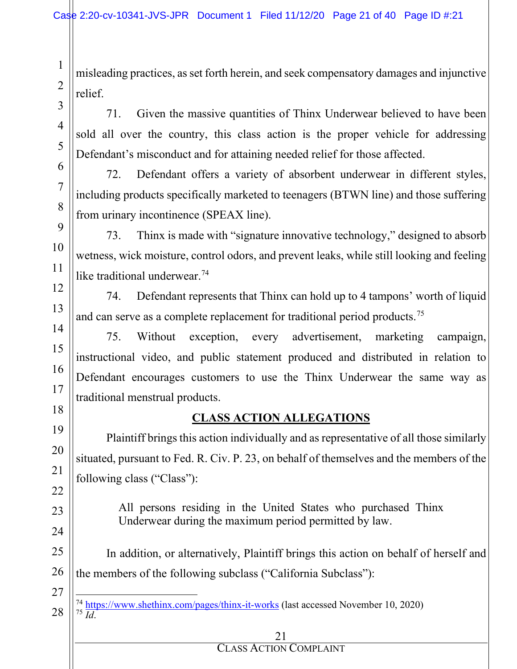misleading practices, as set forth herein, and seek compensatory damages and injunctive relief.

71. Given the massive quantities of Thinx Underwear believed to have been sold all over the country, this class action is the proper vehicle for addressing Defendant's misconduct and for attaining needed relief for those affected.

72. Defendant offers a variety of absorbent underwear in different styles, including products specifically marketed to teenagers (BTWN line) and those suffering from urinary incontinence (SPEAX line).

73. Thinx is made with "signature innovative technology," designed to absorb wetness, wick moisture, control odors, and prevent leaks, while still looking and feeling like traditional underwear.<sup>[74](#page-20-0)</sup>

74. Defendant represents that Thinx can hold up to 4 tampons' worth of liquid and can serve as a complete replacement for traditional period products.[75](#page-20-1)

75. Without exception, every advertisement, marketing campaign, instructional video, and public statement produced and distributed in relation to Defendant encourages customers to use the Thinx Underwear the same way as traditional menstrual products.

### **CLASS ACTION ALLEGATIONS**

Plaintiff brings this action individually and as representative of all those similarly situated, pursuant to Fed. R. Civ. P. 23, on behalf of themselves and the members of the following class ("Class"):

> All persons residing in the United States who purchased Thinx Underwear during the maximum period permitted by law.

In addition, or alternatively, Plaintiff brings this action on behalf of herself and the members of the following subclass ("California Subclass"):

#### 21

<span id="page-20-1"></span><span id="page-20-0"></span><sup>74</sup> <https://www.shethinx.com/pages/thinx-it-works> (last accessed November 10, 2020) <sup>75</sup> *Id*.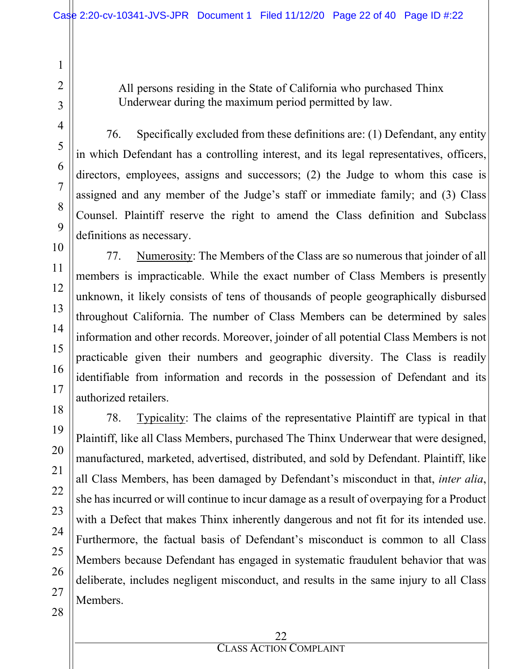All persons residing in the State of California who purchased Thinx Underwear during the maximum period permitted by law.

27

28

76. Specifically excluded from these definitions are: (1) Defendant, any entity in which Defendant has a controlling interest, and its legal representatives, officers, directors, employees, assigns and successors; (2) the Judge to whom this case is assigned and any member of the Judge's staff or immediate family; and (3) Class Counsel. Plaintiff reserve the right to amend the Class definition and Subclass definitions as necessary.

77. Numerosity: The Members of the Class are so numerous that joinder of all members is impracticable. While the exact number of Class Members is presently unknown, it likely consists of tens of thousands of people geographically disbursed throughout California. The number of Class Members can be determined by sales information and other records. Moreover, joinder of all potential Class Members is not practicable given their numbers and geographic diversity. The Class is readily identifiable from information and records in the possession of Defendant and its authorized retailers.

78. Typicality: The claims of the representative Plaintiff are typical in that Plaintiff, like all Class Members, purchased The Thinx Underwear that were designed, manufactured, marketed, advertised, distributed, and sold by Defendant. Plaintiff, like all Class Members, has been damaged by Defendant's misconduct in that, *inter alia*, she has incurred or will continue to incur damage as a result of overpaying for a Product with a Defect that makes Thinx inherently dangerous and not fit for its intended use. Furthermore, the factual basis of Defendant's misconduct is common to all Class Members because Defendant has engaged in systematic fraudulent behavior that was deliberate, includes negligent misconduct, and results in the same injury to all Class Members.

1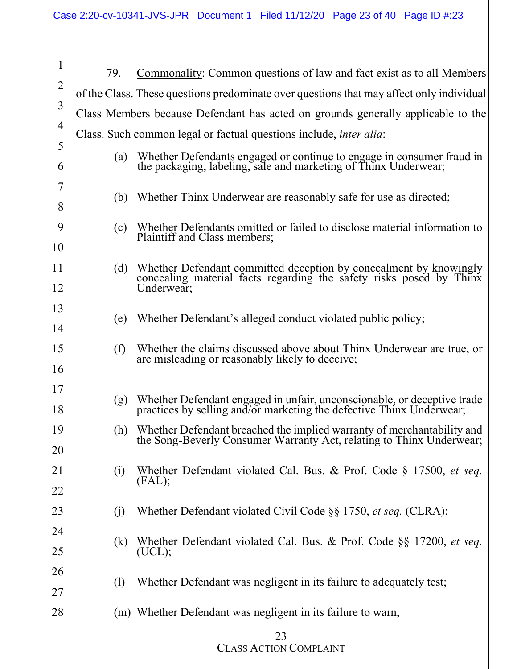| $\mathbf{1}$   | 79.                                                                              | Commonality: Common questions of law and fact exist as to all Members                                                                          |  |
|----------------|----------------------------------------------------------------------------------|------------------------------------------------------------------------------------------------------------------------------------------------|--|
| $\overline{2}$ |                                                                                  | of the Class. These questions predominate over questions that may affect only individual                                                       |  |
| 3              | Class Members because Defendant has acted on grounds generally applicable to the |                                                                                                                                                |  |
| 4              | Class. Such common legal or factual questions include, <i>inter alia</i> :       |                                                                                                                                                |  |
| 5              | (a)                                                                              | Whether Defendants engaged or continue to engage in consumer fraud in the packaging, labeling, sale and marketing of Thinx Underwear;          |  |
| 6              |                                                                                  |                                                                                                                                                |  |
| 7              | (b)                                                                              | Whether Thinx Underwear are reasonably safe for use as directed;                                                                               |  |
| 8              |                                                                                  |                                                                                                                                                |  |
| 9              | (c)                                                                              | Whether Defendants omitted or failed to disclose material information to<br>Plaintiff and Class members;                                       |  |
| 10             |                                                                                  |                                                                                                                                                |  |
| 11             | (d)                                                                              | Whether Defendant committed deception by concealment by knowingly<br>concealing material facts regarding the safety risks posed by Thinx       |  |
| 12             |                                                                                  | Underwear;                                                                                                                                     |  |
| 13             | (e)                                                                              | Whether Defendant's alleged conduct violated public policy;                                                                                    |  |
| 14             |                                                                                  |                                                                                                                                                |  |
| 15             | (f)                                                                              | Whether the claims discussed above about Thinx Underwear are true, or<br>are misleading or reasonably likely to deceive;                       |  |
| 16             |                                                                                  |                                                                                                                                                |  |
| 17             | (g)                                                                              | Whether Defendant engaged in unfair, unconscionable, or deceptive trade                                                                        |  |
| 18             |                                                                                  | practices by selling and/or marketing the defective Thinx Underwear;                                                                           |  |
| 19             | (h)                                                                              | Whether Defendant breached the implied warranty of merchantability and<br>the Song-Beverly Consumer Warranty Act, relating to Thinx Underwear; |  |
| 20             |                                                                                  |                                                                                                                                                |  |
| 21             | (i)                                                                              | Whether Defendant violated Cal. Bus. & Prof. Code § 17500, et seq.<br>(FAL);                                                                   |  |
| 22             |                                                                                  |                                                                                                                                                |  |
| 23             | (j)                                                                              | Whether Defendant violated Civil Code §§ 1750, et seq. (CLRA);                                                                                 |  |
| 24             | (k)                                                                              | Whether Defendant violated Cal. Bus. & Prof. Code §§ 17200, et seq.                                                                            |  |
| 25             |                                                                                  | (UCL);                                                                                                                                         |  |
| 26             | (1)                                                                              | Whether Defendant was negligent in its failure to adequately test;                                                                             |  |
| 27             |                                                                                  |                                                                                                                                                |  |
| 28             |                                                                                  | (m) Whether Defendant was negligent in its failure to warn;                                                                                    |  |
|                |                                                                                  | <b>CLASS ACTION COMPLAINT</b>                                                                                                                  |  |
|                |                                                                                  |                                                                                                                                                |  |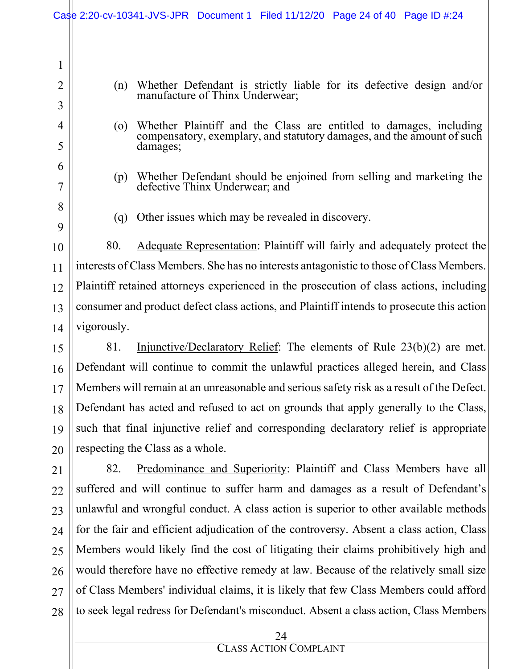|                                | Case 2:20-cv-10341-JVS-JPR Document 1 Filed 11/12/20 Page 24 of 40 Page ID #:24                                                                                            |  |  |  |
|--------------------------------|----------------------------------------------------------------------------------------------------------------------------------------------------------------------------|--|--|--|
| $\mathbf{1}$<br>$\overline{2}$ | Whether Defendant is strictly liable for its defective design and/or<br>(n)                                                                                                |  |  |  |
| 3                              | manufacture of Thinx Underwear;                                                                                                                                            |  |  |  |
| 4<br>5                         | Whether Plaintiff and the Class are entitled to damages, including<br>$\overline{O}$<br>compensatory, exemplary, and statutory damages, and the amount of such<br>damages; |  |  |  |
| 6<br>7                         | Whether Defendant should be enjoined from selling and marketing the<br>(p)<br>defective Thinx Underwear; and                                                               |  |  |  |
| 8<br>9                         | Other issues which may be revealed in discovery.<br>(q)                                                                                                                    |  |  |  |
| 10                             | 80.<br>Adequate Representation: Plaintiff will fairly and adequately protect the                                                                                           |  |  |  |
| 11                             | interests of Class Members. She has no interests antagonistic to those of Class Members.                                                                                   |  |  |  |
| 12                             | Plaintiff retained attorneys experienced in the prosecution of class actions, including                                                                                    |  |  |  |
| 13                             | consumer and product defect class actions, and Plaintiff intends to prosecute this action                                                                                  |  |  |  |
| 14                             | vigorously.                                                                                                                                                                |  |  |  |
| 15                             | Injunctive/Declaratory Relief: The elements of Rule 23(b)(2) are met.<br>81.                                                                                               |  |  |  |
| 16                             | Defendant will continue to commit the unlawful practices alleged herein, and Class                                                                                         |  |  |  |
| 17                             | Members will remain at an unreasonable and serious safety risk as a result of the Defect.                                                                                  |  |  |  |
| 18                             | Defendant has acted and refused to act on grounds that apply generally to the Class,                                                                                       |  |  |  |
| 19                             | such that final injunctive relief and corresponding declaratory relief is appropriate                                                                                      |  |  |  |
| 20                             | respecting the Class as a whole.                                                                                                                                           |  |  |  |
| 21                             | 82.<br>Predominance and Superiority: Plaintiff and Class Members have all                                                                                                  |  |  |  |
| 22                             | suffered and will continue to suffer harm and damages as a result of Defendant's                                                                                           |  |  |  |
| 23                             | unlawful and wrongful conduct. A class action is superior to other available methods                                                                                       |  |  |  |
| 24                             | for the fair and efficient adjudication of the controversy. Absent a class action, Class                                                                                   |  |  |  |
| 25                             | Members would likely find the cost of litigating their claims prohibitively high and                                                                                       |  |  |  |
| 26                             | would therefore have no effective remedy at law. Because of the relatively small size                                                                                      |  |  |  |
| 27                             | of Class Members' individual claims, it is likely that few Class Members could afford                                                                                      |  |  |  |
| 28                             | to seek legal redress for Defendant's misconduct. Absent a class action, Class Members                                                                                     |  |  |  |
|                                | 24                                                                                                                                                                         |  |  |  |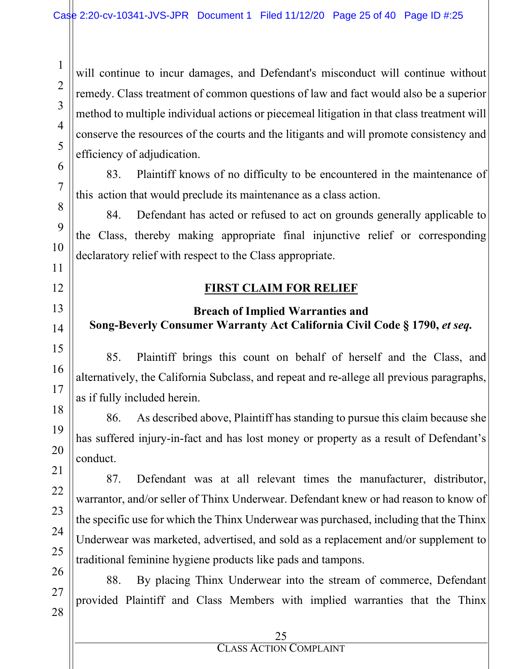will continue to incur damages, and Defendant's misconduct will continue without remedy. Class treatment of common questions of law and fact would also be a superior method to multiple individual actions or piecemeal litigation in that class treatment will conserve the resources of the courts and the litigants and will promote consistency and efficiency of adjudication.

83. Plaintiff knows of no difficulty to be encountered in the maintenance of this action that would preclude its maintenance as a class action.

84. Defendant has acted or refused to act on grounds generally applicable to the Class, thereby making appropriate final injunctive relief or corresponding declaratory relief with respect to the Class appropriate.

#### **FIRST CLAIM FOR RELIEF**

### **Breach of Implied Warranties and Song-Beverly Consumer Warranty Act California Civil Code § 1790,** *et seq.*

85. Plaintiff brings this count on behalf of herself and the Class, and alternatively, the California Subclass, and repeat and re-allege all previous paragraphs, as if fully included herein.

86. As described above, Plaintiff has standing to pursue this claim because she has suffered injury-in-fact and has lost money or property as a result of Defendant's conduct.

87. Defendant was at all relevant times the manufacturer, distributor, warrantor, and/or seller of Thinx Underwear. Defendant knew or had reason to know of the specific use for which the Thinx Underwear was purchased, including that the Thinx Underwear was marketed, advertised, and sold as a replacement and/or supplement to traditional feminine hygiene products like pads and tampons.

88. By placing Thinx Underwear into the stream of commerce, Defendant provided Plaintiff and Class Members with implied warranties that the Thinx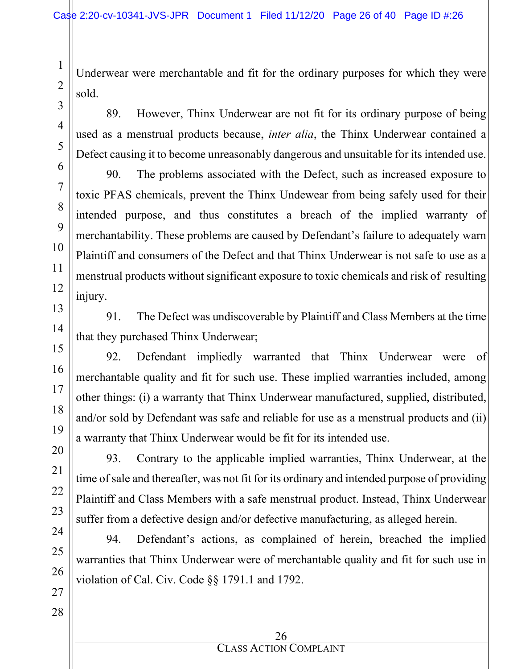Underwear were merchantable and fit for the ordinary purposes for which they were sold.

89. However, Thinx Underwear are not fit for its ordinary purpose of being used as a menstrual products because, *inter alia*, the Thinx Underwear contained a Defect causing it to become unreasonably dangerous and unsuitable for its intended use.

90. The problems associated with the Defect, such as increased exposure to toxic PFAS chemicals, prevent the Thinx Undewear from being safely used for their intended purpose, and thus constitutes a breach of the implied warranty of merchantability. These problems are caused by Defendant's failure to adequately warn Plaintiff and consumers of the Defect and that Thinx Underwear is not safe to use as a menstrual products without significant exposure to toxic chemicals and risk of resulting injury.

91. The Defect was undiscoverable by Plaintiff and Class Members at the time that they purchased Thinx Underwear;

92. Defendant impliedly warranted that Thinx Underwear were of merchantable quality and fit for such use. These implied warranties included, among other things: (i) a warranty that Thinx Underwear manufactured, supplied, distributed, and/or sold by Defendant was safe and reliable for use as a menstrual products and (ii) a warranty that Thinx Underwear would be fit for its intended use.

93. Contrary to the applicable implied warranties, Thinx Underwear, at the time of sale and thereafter, was not fit for its ordinary and intended purpose of providing Plaintiff and Class Members with a safe menstrual product. Instead, Thinx Underwear suffer from a defective design and/or defective manufacturing, as alleged herein.

94. Defendant's actions, as complained of herein, breached the implied warranties that Thinx Underwear were of merchantable quality and fit for such use in violation of Cal. Civ. Code §§ 1791.1 and 1792.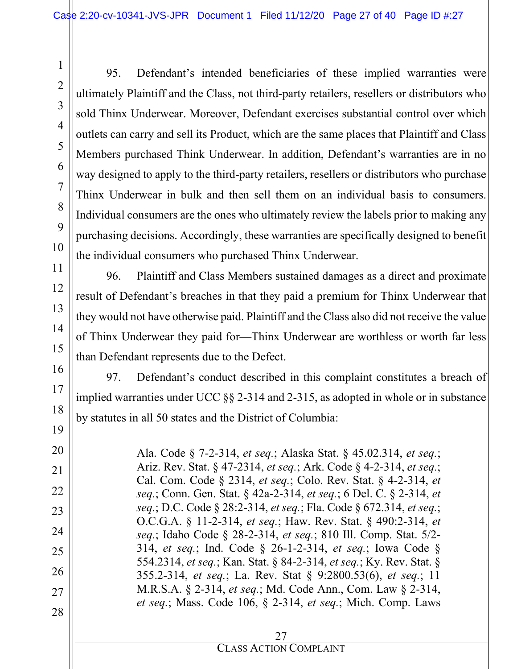95. Defendant's intended beneficiaries of these implied warranties were ultimately Plaintiff and the Class, not third-party retailers, resellers or distributors who sold Thinx Underwear. Moreover, Defendant exercises substantial control over which outlets can carry and sell its Product, which are the same places that Plaintiff and Class Members purchased Think Underwear. In addition, Defendant's warranties are in no way designed to apply to the third-party retailers, resellers or distributors who purchase Thinx Underwear in bulk and then sell them on an individual basis to consumers. Individual consumers are the ones who ultimately review the labels prior to making any purchasing decisions. Accordingly, these warranties are specifically designed to benefit the individual consumers who purchased Thinx Underwear.

96. Plaintiff and Class Members sustained damages as a direct and proximate result of Defendant's breaches in that they paid a premium for Thinx Underwear that they would not have otherwise paid. Plaintiff and the Class also did not receive the value of Thinx Underwear they paid for—Thinx Underwear are worthless or worth far less than Defendant represents due to the Defect.

97. Defendant's conduct described in this complaint constitutes a breach of implied warranties under UCC §§ 2-314 and 2-315, as adopted in whole or in substance by statutes in all 50 states and the District of Columbia:

Ala. Code § 7-2-314, *et seq.*; Alaska Stat. § 45.02.314, *et seq.*; Ariz. Rev. Stat. § 47-2314, *et seq.*; Ark. Code § 4-2-314, *et seq.*; Cal. Com. Code § 2314, *et seq.*; Colo. Rev. Stat. § 4-2-314, *et seq.*; Conn. Gen. Stat. § 42a-2-314, *et seq.*; 6 Del. C. § 2-314, *et seq.*; D.C. Code § 28:2-314, *et seq.*; Fla. Code § 672.314, *et seq.*; O.C.G.A. § 11-2-314, *et seq.*; Haw. Rev. Stat. § 490:2-314, *et seq.*; Idaho Code § 28-2-314, *et seq.*; 810 Ill. Comp. Stat. 5/2- 314, *et seq.*; Ind. Code § 26-1-2-314, *et seq.*; Iowa Code § 554.2314, *et seq.*; Kan. Stat. § 84-2-314, *et seq.*; Ky. Rev. Stat. § 355.2-314, *et seq.*; La. Rev. Stat § 9:2800.53(6), *et seq.*; 11 M.R.S.A. § 2-314, *et seq.*; Md. Code Ann., Com. Law § 2-314, *et seq.*; Mass. Code 106, § 2-314, *et seq.*; Mich. Comp. Laws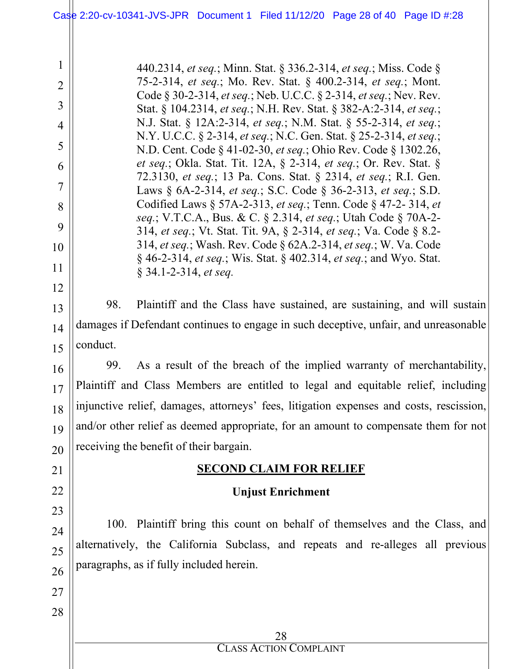440.2314, *et seq.*; Minn. Stat. § 336.2-314, *et seq.*; Miss. Code § 75-2-314, *et seq.*; Mo. Rev. Stat. § 400.2-314, *et seq.*; Mont. Code § 30-2-314, *et seq.*; Neb. U.C.C. § 2-314, *et seq.*; Nev. Rev. Stat. § 104.2314, *et seq.*; N.H. Rev. Stat. § 382-A:2-314, *et seq.*; N.J. Stat. § 12A:2-314, *et seq.*; N.M. Stat. § 55-2-314, *et seq.*; N.Y. U.C.C. § 2-314, *et seq.*; N.C. Gen. Stat. § 25-2-314, *et seq.*; N.D. Cent. Code § 41-02-30, *et seq.*; Ohio Rev. Code § 1302.26, *et seq.*; Okla. Stat. Tit. 12A, § 2-314, *et seq.*; Or. Rev. Stat. § 72.3130, *et seq.*; 13 Pa. Cons. Stat. § 2314, *et seq.*; R.I. Gen. Laws § 6A-2-314, *et seq.*; S.C. Code § 36-2-313, *et seq.*; S.D. Codified Laws § 57A-2-313, *et seq.*; Tenn. Code § 47-2- 314, *et seq.*; V.T.C.A., Bus. & C. § 2.314, *et seq.*; Utah Code § 70A-2- 314, *et seq.*; Vt. Stat. Tit. 9A, § 2-314, *et seq.*; Va. Code § 8.2- 314, *et seq.*; Wash. Rev. Code § 62A.2-314, *et seq.*; W. Va. Code § 46-2-314, *et seq.*; Wis. Stat. § 402.314, *et seq.*; and Wyo. Stat. § 34.1-2-314, *et seq.*

98. Plaintiff and the Class have sustained, are sustaining, and will sustain damages if Defendant continues to engage in such deceptive, unfair, and unreasonable conduct.

99. As a result of the breach of the implied warranty of merchantability, Plaintiff and Class Members are entitled to legal and equitable relief, including injunctive relief, damages, attorneys' fees, litigation expenses and costs, rescission, and/or other relief as deemed appropriate, for an amount to compensate them for not receiving the benefit of their bargain.

### **SECOND CLAIM FOR RELIEF**

### **Unjust Enrichment**

100. Plaintiff bring this count on behalf of themselves and the Class, and alternatively, the California Subclass, and repeats and re-alleges all previous paragraphs, as if fully included herein.

1

2

3

4

5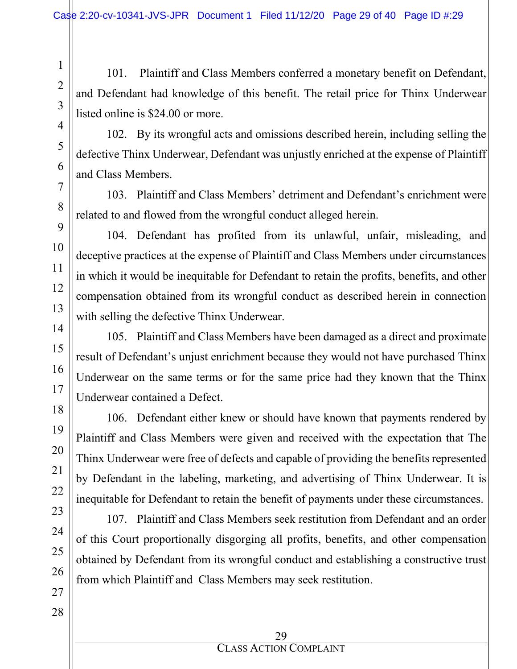101. Plaintiff and Class Members conferred a monetary benefit on Defendant, and Defendant had knowledge of this benefit. The retail price for Thinx Underwear listed online is \$24.00 or more.

102. By its wrongful acts and omissions described herein, including selling the defective Thinx Underwear, Defendant was unjustly enriched at the expense of Plaintiff and Class Members.

103. Plaintiff and Class Members' detriment and Defendant's enrichment were related to and flowed from the wrongful conduct alleged herein.

104. Defendant has profited from its unlawful, unfair, misleading, and deceptive practices at the expense of Plaintiff and Class Members under circumstances in which it would be inequitable for Defendant to retain the profits, benefits, and other compensation obtained from its wrongful conduct as described herein in connection with selling the defective Thinx Underwear.

105. Plaintiff and Class Members have been damaged as a direct and proximate result of Defendant's unjust enrichment because they would not have purchased Thinx Underwear on the same terms or for the same price had they known that the Thinx Underwear contained a Defect.

106. Defendant either knew or should have known that payments rendered by Plaintiff and Class Members were given and received with the expectation that The Thinx Underwear were free of defects and capable of providing the benefits represented by Defendant in the labeling, marketing, and advertising of Thinx Underwear. It is inequitable for Defendant to retain the benefit of payments under these circumstances.

107. Plaintiff and Class Members seek restitution from Defendant and an order of this Court proportionally disgorging all profits, benefits, and other compensation obtained by Defendant from its wrongful conduct and establishing a constructive trust from which Plaintiff and Class Members may seek restitution.

1

2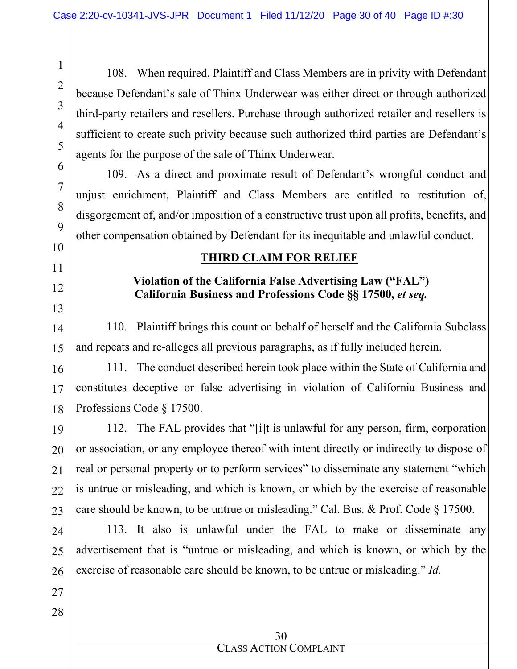108. When required, Plaintiff and Class Members are in privity with Defendant because Defendant's sale of Thinx Underwear was either direct or through authorized third-party retailers and resellers. Purchase through authorized retailer and resellers is sufficient to create such privity because such authorized third parties are Defendant's agents for the purpose of the sale of Thinx Underwear.

109. As a direct and proximate result of Defendant's wrongful conduct and unjust enrichment, Plaintiff and Class Members are entitled to restitution of, disgorgement of, and/or imposition of a constructive trust upon all profits, benefits, and other compensation obtained by Defendant for its inequitable and unlawful conduct.

## **THIRD CLAIM FOR RELIEF**

#### **Violation of the California False Advertising Law ("FAL") California Business and Professions Code §§ 17500,** *et seq.*

110. Plaintiff brings this count on behalf of herself and the California Subclass and repeats and re-alleges all previous paragraphs, as if fully included herein.

111. The conduct described herein took place within the State of California and constitutes deceptive or false advertising in violation of California Business and Professions Code § 17500.

112. The FAL provides that "[i]t is unlawful for any person, firm, corporation or association, or any employee thereof with intent directly or indirectly to dispose of real or personal property or to perform services" to disseminate any statement "which is untrue or misleading, and which is known, or which by the exercise of reasonable care should be known, to be untrue or misleading." Cal. Bus. & Prof. Code § 17500.

113. It also is unlawful under the FAL to make or disseminate any advertisement that is "untrue or misleading, and which is known, or which by the exercise of reasonable care should be known, to be untrue or misleading." *Id.*

1

2

3

4

5

6

7

8

9

10

11

12

13

14

15

16

17

18

19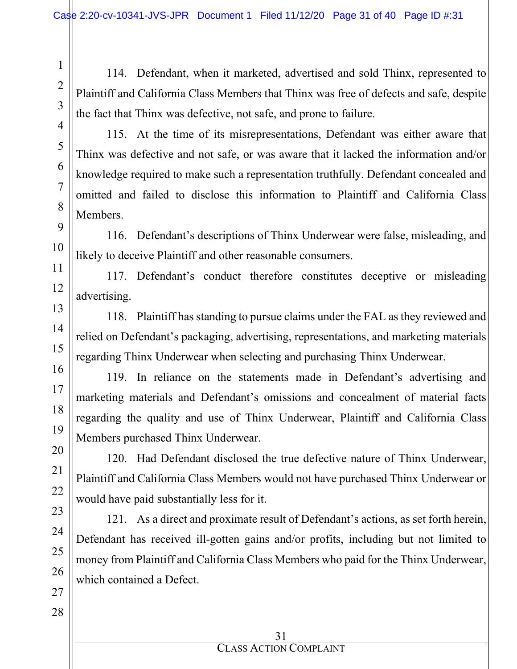114. Defendant, when it marketed, advertised and sold Thinx, represented to Plaintiff and California Class Members that Thinx was free of defects and safe, despite the fact that Thinx was defective, not safe, and prone to failure.

115. At the time of its misrepresentations, Defendant was either aware that Thinx was defective and not safe, or was aware that it lacked the information and/or knowledge required to make such a representation truthfully. Defendant concealed and omitted and failed to disclose this information to Plaintiff and California Class Members.

116. Defendant's descriptions of Thinx Underwear were false, misleading, and likely to deceive Plaintiff and other reasonable consumers.

117. Defendant's conduct therefore constitutes deceptive or misleading advertising.

118. Plaintiff has standing to pursue claims under the FAL as they reviewed and relied on Defendant's packaging, advertising, representations, and marketing materials regarding Thinx Underwear when selecting and purchasing Thinx Underwear.

119. In reliance on the statements made in Defendant's advertising and marketing materials and Defendant's omissions and concealment of material facts regarding the quality and use of Thinx Underwear, Plaintiff and California Class Members purchased Thinx Underwear.

120. Had Defendant disclosed the true defective nature of Thinx Underwear, Plaintiff and California Class Members would not have purchased Thinx Underwear or would have paid substantially less for it.

121. As a direct and proximate result of Defendant's actions, as set forth herein, Defendant has received ill-gotten gains and/or profits, including but not limited to money from Plaintiff and California Class Members who paid for the Thinx Underwear, which contained a Defect.

1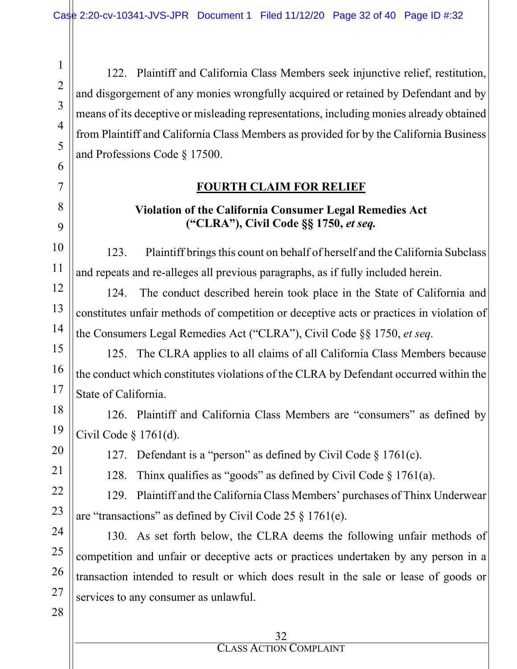122. Plaintiff and California Class Members seek injunctive relief, restitution, and disgorgement of any monies wrongfully acquired or retained by Defendant and by means of its deceptive or misleading representations, including monies already obtained from Plaintiff and California Class Members as provided for by the California Business and Professions Code § 17500.

#### **FOURTH CLAIM FOR RELIEF**

### **Violation of the California Consumer Legal Remedies Act ("CLRA"), Civil Code §§ 1750,** *et seq.*

123. Plaintiff brings this count on behalf of herself and the California Subclass and repeats and re-alleges all previous paragraphs, as if fully included herein.

124. The conduct described herein took place in the State of California and constitutes unfair methods of competition or deceptive acts or practices in violation of the Consumers Legal Remedies Act ("CLRA"), Civil Code §§ 1750, *et seq.*

125. The CLRA applies to all claims of all California Class Members because the conduct which constitutes violations of the CLRA by Defendant occurred within the State of California.

126. Plaintiff and California Class Members are "consumers" as defined by Civil Code § 1761(d).

20

1

2

3

4

5

6

7

8

9

10

11

12

13

14

15

16

17

18

19

21

22

23

127. Defendant is a "person" as defined by Civil Code § 1761(c).

128. Thinx qualifies as "goods" as defined by Civil Code § 1761(a).

129. Plaintiff and the California Class Members' purchases of Thinx Underwear are "transactions" as defined by Civil Code 25 § 1761(e).

130. As set forth below, the CLRA deems the following unfair methods of competition and unfair or deceptive acts or practices undertaken by any person in a transaction intended to result or which does result in the sale or lease of goods or services to any consumer as unlawful.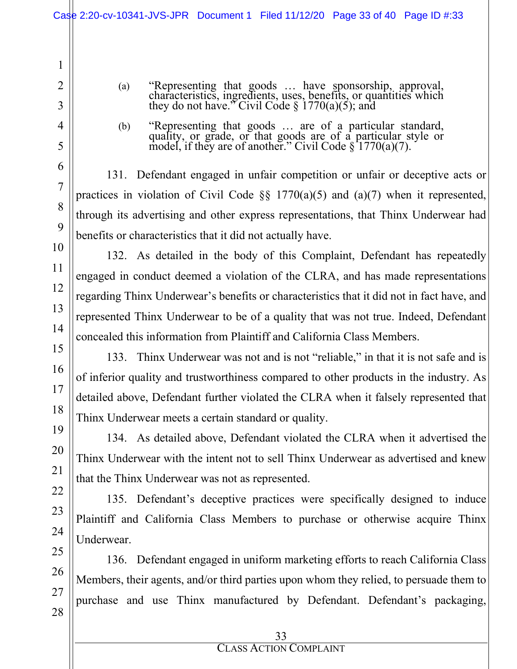- (a) "Representing that goods … have sponsorship, approval, characteristics, ingredients, uses, benefits, or quantities which they do not have." Civil Code § 1770(a)(5); and
- (b) "Representing that goods … are of a particular standard, quality, or grade, or that goods are of a particular style or model, if they are of another." Civil Code  $\S$  1770(a)(7).

131. Defendant engaged in unfair competition or unfair or deceptive acts or practices in violation of Civil Code  $\S$  1770(a)(5) and (a)(7) when it represented, through its advertising and other express representations, that Thinx Underwear had benefits or characteristics that it did not actually have.

132. As detailed in the body of this Complaint, Defendant has repeatedly engaged in conduct deemed a violation of the CLRA, and has made representations regarding Thinx Underwear's benefits or characteristics that it did not in fact have, and represented Thinx Underwear to be of a quality that was not true. Indeed, Defendant concealed this information from Plaintiff and California Class Members.

133. Thinx Underwear was not and is not "reliable," in that it is not safe and is of inferior quality and trustworthiness compared to other products in the industry. As detailed above, Defendant further violated the CLRA when it falsely represented that Thinx Underwear meets a certain standard or quality.

134. As detailed above, Defendant violated the CLRA when it advertised the Thinx Underwear with the intent not to sell Thinx Underwear as advertised and knew that the Thinx Underwear was not as represented.

135. Defendant's deceptive practices were specifically designed to induce Plaintiff and California Class Members to purchase or otherwise acquire Thinx Underwear.

136. Defendant engaged in uniform marketing efforts to reach California Class Members, their agents, and/or third parties upon whom they relied, to persuade them to purchase and use Thinx manufactured by Defendant. Defendant's packaging,

1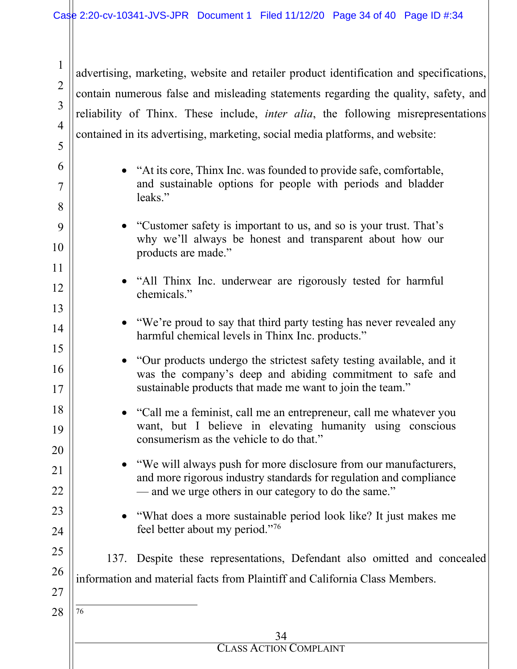1

2

3

4

advertising, marketing, website and retailer product identification and specifications, contain numerous false and misleading statements regarding the quality, safety, and reliability of Thinx. These include, *inter alia*, the following misrepresentations contained in its advertising, marketing, social media platforms, and website:

<span id="page-33-0"></span>34 CLASS ACTION COMPLAINT 5 6 7 8 9 10 11 12 13 14 15 16 17 18 19 20 21 22 23 24 25 26 27 28 • "At its core, Thinx Inc. was founded to provide safe, comfortable, and sustainable options for people with periods and bladder leaks." • "Customer safety is important to us, and so is your trust. That's why we'll always be honest and transparent about how our products are made." • "All Thinx Inc. underwear are rigorously tested for harmful chemicals." • "We're proud to say that third party testing has never revealed any harmful chemical levels in Thinx Inc. products." • "Our products undergo the strictest safety testing available, and it was the company's deep and abiding commitment to safe and sustainable products that made me want to join the team." • "Call me a feminist, call me an entrepreneur, call me whatever you want, but I believe in elevating humanity using conscious consumerism as the vehicle to do that." • "We will always push for more disclosure from our manufacturers, and more rigorous industry standards for regulation and compliance — and we urge others in our category to do the same." • "What does a more sustainable period look like? It just makes me feel better about my period."[76](#page-33-0) 137. Despite these representations, Defendant also omitted and concealed information and material facts from Plaintiff and California Class Members. 76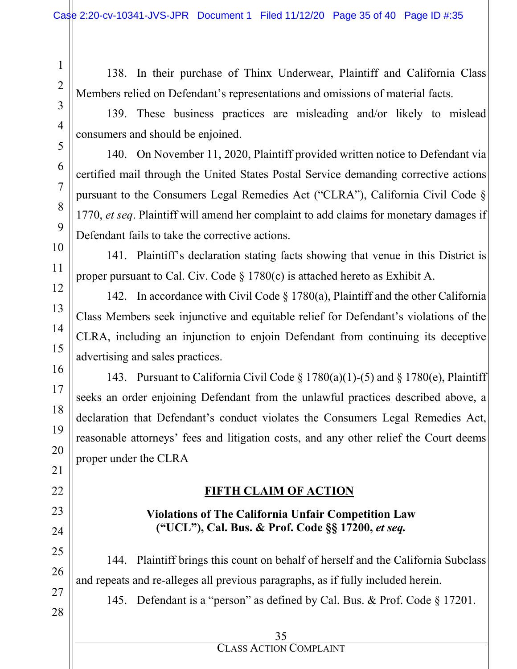1

2

3

4

5

6

7

8

9

10

11

12

13

14

15

16

17

18

19

20

21

22

23

24

25

26

27

28

138. In their purchase of Thinx Underwear, Plaintiff and California Class Members relied on Defendant's representations and omissions of material facts.

139. These business practices are misleading and/or likely to mislead consumers and should be enjoined.

140. On November 11, 2020, Plaintiff provided written notice to Defendant via certified mail through the United States Postal Service demanding corrective actions pursuant to the Consumers Legal Remedies Act ("CLRA"), California Civil Code § 1770, *et seq*. Plaintiff will amend her complaint to add claims for monetary damages if Defendant fails to take the corrective actions.

141. Plaintiff's declaration stating facts showing that venue in this District is proper pursuant to Cal. Civ. Code  $\S 1780(c)$  is attached hereto as Exhibit A.

142. In accordance with Civil Code § 1780(a), Plaintiff and the other California Class Members seek injunctive and equitable relief for Defendant's violations of the CLRA, including an injunction to enjoin Defendant from continuing its deceptive advertising and sales practices.

143. Pursuant to California Civil Code § 1780(a)(1)-(5) and § 1780(e), Plaintiff seeks an order enjoining Defendant from the unlawful practices described above, a declaration that Defendant's conduct violates the Consumers Legal Remedies Act, reasonable attorneys' fees and litigation costs, and any other relief the Court deems proper under the CLRA

### **FIFTH CLAIM OF ACTION**

### **Violations of The California Unfair Competition Law ("UCL"), Cal. Bus. & Prof. Code §§ 17200,** *et seq.*

144. Plaintiff brings this count on behalf of herself and the California Subclass and repeats and re-alleges all previous paragraphs, as if fully included herein.

145. Defendant is a "person" as defined by Cal. Bus. & Prof. Code § 17201.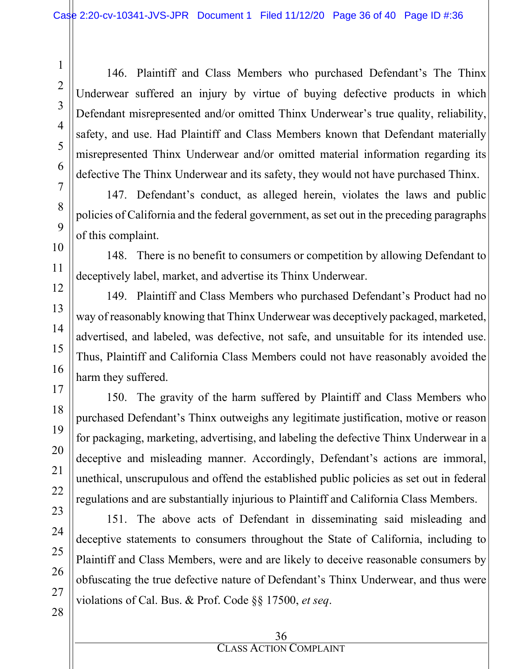146. Plaintiff and Class Members who purchased Defendant's The Thinx Underwear suffered an injury by virtue of buying defective products in which Defendant misrepresented and/or omitted Thinx Underwear's true quality, reliability, safety, and use. Had Plaintiff and Class Members known that Defendant materially misrepresented Thinx Underwear and/or omitted material information regarding its defective The Thinx Underwear and its safety, they would not have purchased Thinx.

147. Defendant's conduct, as alleged herein, violates the laws and public policies of California and the federal government, as set out in the preceding paragraphs of this complaint.

148. There is no benefit to consumers or competition by allowing Defendant to deceptively label, market, and advertise its Thinx Underwear.

149. Plaintiff and Class Members who purchased Defendant's Product had no way of reasonably knowing that Thinx Underwear was deceptively packaged, marketed, advertised, and labeled, was defective, not safe, and unsuitable for its intended use. Thus, Plaintiff and California Class Members could not have reasonably avoided the harm they suffered.

150. The gravity of the harm suffered by Plaintiff and Class Members who purchased Defendant's Thinx outweighs any legitimate justification, motive or reason for packaging, marketing, advertising, and labeling the defective Thinx Underwear in a deceptive and misleading manner. Accordingly, Defendant's actions are immoral, unethical, unscrupulous and offend the established public policies as set out in federal regulations and are substantially injurious to Plaintiff and California Class Members.

151. The above acts of Defendant in disseminating said misleading and deceptive statements to consumers throughout the State of California, including to Plaintiff and Class Members, were and are likely to deceive reasonable consumers by obfuscating the true defective nature of Defendant's Thinx Underwear, and thus were violations of Cal. Bus. & Prof. Code §§ 17500, *et seq*.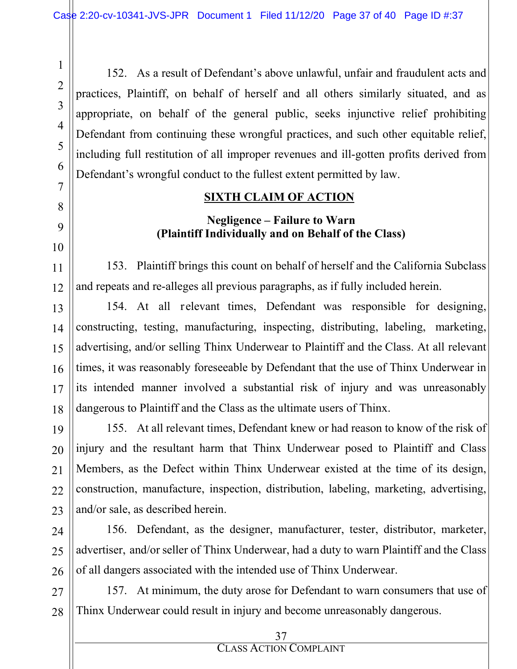152. As a result of Defendant's above unlawful, unfair and fraudulent acts and practices, Plaintiff, on behalf of herself and all others similarly situated, and as appropriate, on behalf of the general public, seeks injunctive relief prohibiting Defendant from continuing these wrongful practices, and such other equitable relief, including full restitution of all improper revenues and ill-gotten profits derived from Defendant's wrongful conduct to the fullest extent permitted by law.

#### **SIXTH CLAIM OF ACTION**

## **Negligence – Failure to Warn (Plaintiff Individually and on Behalf of the Class)**

153. Plaintiff brings this count on behalf of herself and the California Subclass and repeats and re-alleges all previous paragraphs, as if fully included herein.

154. At all relevant times, Defendant was responsible for designing, constructing, testing, manufacturing, inspecting, distributing, labeling, marketing, advertising, and/or selling Thinx Underwear to Plaintiff and the Class. At all relevant times, it was reasonably foreseeable by Defendant that the use of Thinx Underwear in its intended manner involved a substantial risk of injury and was unreasonably dangerous to Plaintiff and the Class as the ultimate users of Thinx.

155. At all relevant times, Defendant knew or had reason to know of the risk of injury and the resultant harm that Thinx Underwear posed to Plaintiff and Class Members, as the Defect within Thinx Underwear existed at the time of its design, construction, manufacture, inspection, distribution, labeling, marketing, advertising, and/or sale, as described herein.

156. Defendant, as the designer, manufacturer, tester, distributor, marketer, advertiser, and/or seller of Thinx Underwear, had a duty to warn Plaintiff and the Class of all dangers associated with the intended use of Thinx Underwear.

157. At minimum, the duty arose for Defendant to warn consumers that use of Thinx Underwear could result in injury and become unreasonably dangerous.

1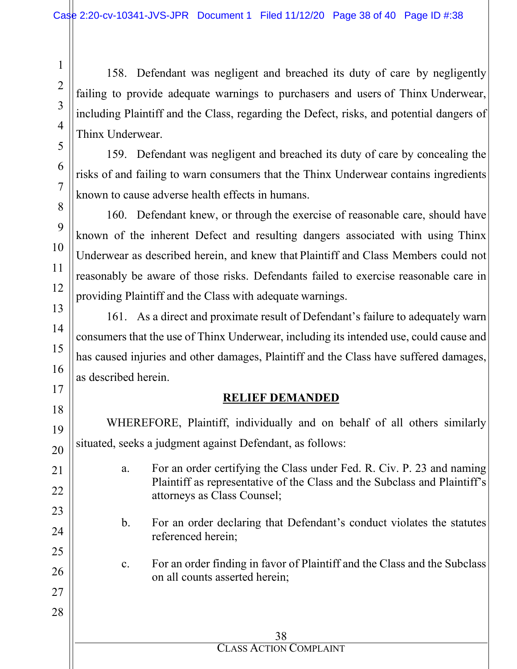158. Defendant was negligent and breached its duty of care by negligently failing to provide adequate warnings to purchasers and users of Thinx Underwear, including Plaintiff and the Class, regarding the Defect, risks, and potential dangers of Thinx Underwear.

159. Defendant was negligent and breached its duty of care by concealing the risks of and failing to warn consumers that the Thinx Underwear contains ingredients known to cause adverse health effects in humans.

160. Defendant knew, or through the exercise of reasonable care, should have known of the inherent Defect and resulting dangers associated with using Thinx Underwear as described herein, and knew that Plaintiff and Class Members could not reasonably be aware of those risks. Defendants failed to exercise reasonable care in providing Plaintiff and the Class with adequate warnings.

161. As a direct and proximate result of Defendant's failure to adequately warn consumers that the use of Thinx Underwear, including its intended use, could cause and has caused injuries and other damages, Plaintiff and the Class have suffered damages, as described herein.

#### **RELIEF DEMANDED**

WHEREFORE, Plaintiff, individually and on behalf of all others similarly situated, seeks a judgment against Defendant, as follows:

- a. For an order certifying the Class under Fed. R. Civ. P. 23 and naming Plaintiff as representative of the Class and the Subclass and Plaintiff's attorneys as Class Counsel;
- b. For an order declaring that Defendant's conduct violates the statutes referenced herein;
- c. For an order finding in favor of Plaintiff and the Class and the Subclass on all counts asserted herein;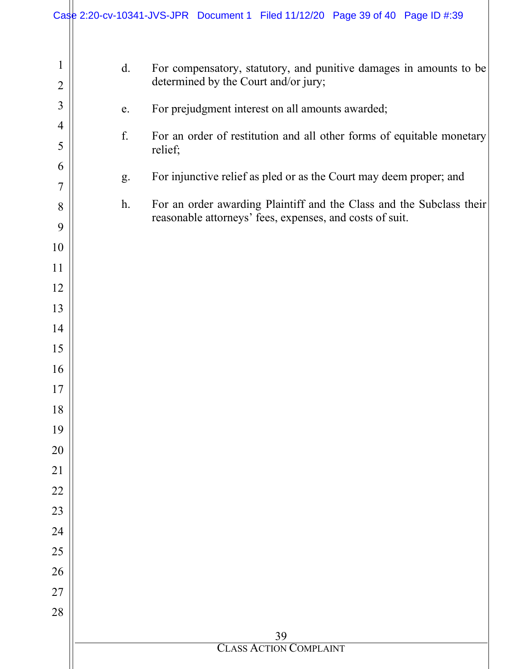|                                |    | Case 2:20-cv-10341-JVS-JPR Document 1 Filed 11/12/20 Page 39 of 40 Page ID #:39                                                  |
|--------------------------------|----|----------------------------------------------------------------------------------------------------------------------------------|
|                                |    |                                                                                                                                  |
| $\mathbf{1}$<br>$\overline{2}$ | d. | For compensatory, statutory, and punitive damages in amounts to be<br>determined by the Court and/or jury;                       |
| $\overline{3}$                 | e. | For prejudgment interest on all amounts awarded;                                                                                 |
| $\overline{4}$<br>5            | f. | For an order of restitution and all other forms of equitable monetary<br>relief;                                                 |
| 6                              |    |                                                                                                                                  |
| 7                              | g. | For injunctive relief as pled or as the Court may deem proper; and                                                               |
| 8                              | h. | For an order awarding Plaintiff and the Class and the Subclass their<br>reasonable attorneys' fees, expenses, and costs of suit. |
| 9<br>10                        |    |                                                                                                                                  |
| 11                             |    |                                                                                                                                  |
| 12                             |    |                                                                                                                                  |
| 13                             |    |                                                                                                                                  |
| 14                             |    |                                                                                                                                  |
| 15                             |    |                                                                                                                                  |
| 16                             |    |                                                                                                                                  |
| 17                             |    |                                                                                                                                  |
| 18                             |    |                                                                                                                                  |
| 19<br>20                       |    |                                                                                                                                  |
| 21                             |    |                                                                                                                                  |
| 22                             |    |                                                                                                                                  |
| 23                             |    |                                                                                                                                  |
| 24                             |    |                                                                                                                                  |
| 25                             |    |                                                                                                                                  |
| 26                             |    |                                                                                                                                  |
| 27                             |    |                                                                                                                                  |
| 28                             |    |                                                                                                                                  |
|                                |    | 39<br><b>CLASS ACTION COMPLAINT</b>                                                                                              |
|                                |    |                                                                                                                                  |